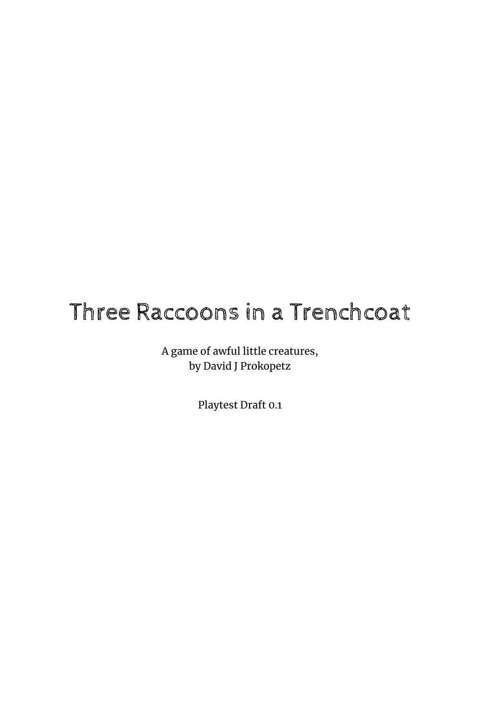# Three Raccoons in a Trenchcoat

A game of awful little creatures, by David J Prokopetz

Playtest Draft 0.1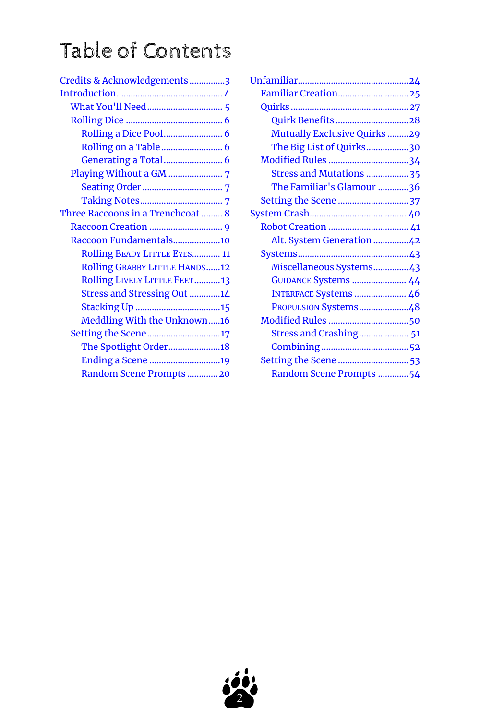# Table of Contents

| <b>Familiar Creation25</b>          |  |
|-------------------------------------|--|
|                                     |  |
| Quirk Benefits 28                   |  |
| <b>Mutually Exclusive Quirks 29</b> |  |
| The Big List of Quirks30            |  |
|                                     |  |
| Stress and Mutations  35            |  |
| The Familiar's Glamour 36           |  |
|                                     |  |
|                                     |  |
|                                     |  |
| Alt. System Generation42            |  |
|                                     |  |
| Miscellaneous Systems43             |  |
| <b>GUIDANCE Systems  44</b>         |  |
| INTERFACE Systems  46               |  |
| PROPULSION Systems48                |  |
|                                     |  |
| Stress and Crashing 51              |  |
|                                     |  |
| Setting the Scene  53               |  |
| Random Scene Prompts 54             |  |

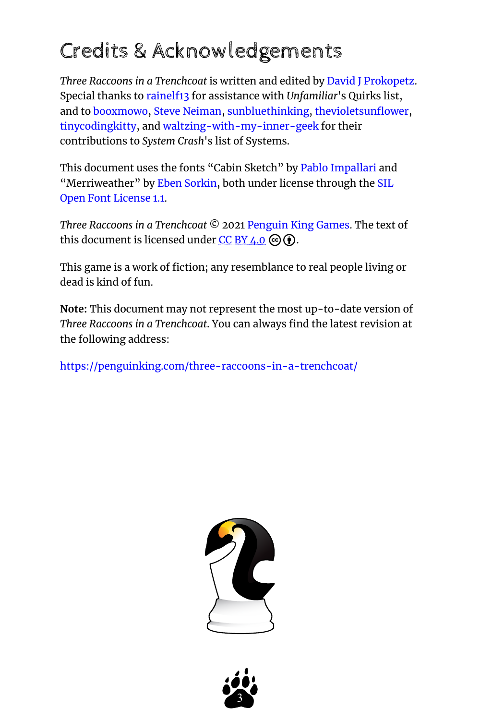# <span id="page-2-0"></span>Credits & Acknowledgements

*Three Raccoons in a Trenchcoat* is written and edited by [David J Prokopetz](https://david-j-prokopetz.itch.io/). Special thanks to [rainelf13](https://rainelf13.tumblr.com/) for assistance with *Unfamiliar*'s Quirks list, and to [booxmowo](https://booxmowo.tumblr.com/), [Steve Neiman](https://steveneiman.tumblr.com/), [sunbluethinking](https://sunbluethinking.tumblr.com/), [thevioletsunflower,](https://thevioletsunflower.tumblr.com/) [tinycodingkitty,](https://tinycodingkitty.tumblr.com/) and [waltzing-with-my-inner-geek](https://waltzing-with-my-inner-geek.tumblr.com/) for their contributions to *System Crash*'s list of Systems.

This document uses the fonts "Cabin Sketch" by [Pablo Impallari](https://github.com/impallari/) and "Merriweather" by [Eben Sorkin](http://sorkintype.com/), both under license through the [SIL](https://scripts.sil.org/cms/scripts/page.php?site_id=nrsi&id=OFL_web) [Open Font License 1.1](https://scripts.sil.org/cms/scripts/page.php?site_id=nrsi&id=OFL_web).

*Three Raccoons in a Trenchcoat* © 2021 [Penguin King Games.](https://penguinking.com/) The text of this document is licensed under  $CC$  BY  $4.0 \odot$  $4.0 \odot$  $4.0 \odot$  .

This game is a work of fiction; any resemblance to real people living or dead is kind of fun.

**Note:** This document may not represent the most up-to-date version of *Three Raccoons in a Trenchcoat*. You can always find the latest revision at the following address:

<https://penguinking.com/three-raccoons-in-a-trenchcoat/>



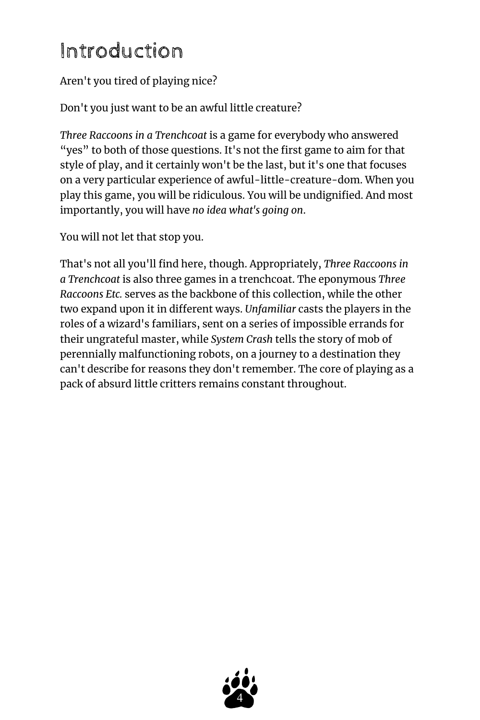# <span id="page-3-0"></span>Introduction

## Aren't you tired of playing nice?

Don't you just want to be an awful little creature?

*Three Raccoons in a Trenchcoat* is a game for everybody who answered "yes" to both of those questions. It's not the first game to aim for that style of play, and it certainly won't be the last, but it's one that focuses on a very particular experience of awful-little-creature-dom. When you play this game, you will be ridiculous. You will be undignified. And most importantly, you will have *no idea what's going on*.

You will not let that stop you.

That's not all you'll find here, though. Appropriately, *Three Raccoons in a Trenchcoat* is also three games in a trenchcoat. The eponymous *Three Raccoons Etc.* serves as the backbone of this collection, while the other two expand upon it in different ways. *Unfamiliar* casts the players in the roles of a wizard's familiars, sent on a series of impossible errands for their ungrateful master, while *System Crash* tells the story of mob of perennially malfunctioning robots, on a journey to a destination they can't describe for reasons they don't remember. The core of playing as a pack of absurd little critters remains constant throughout.

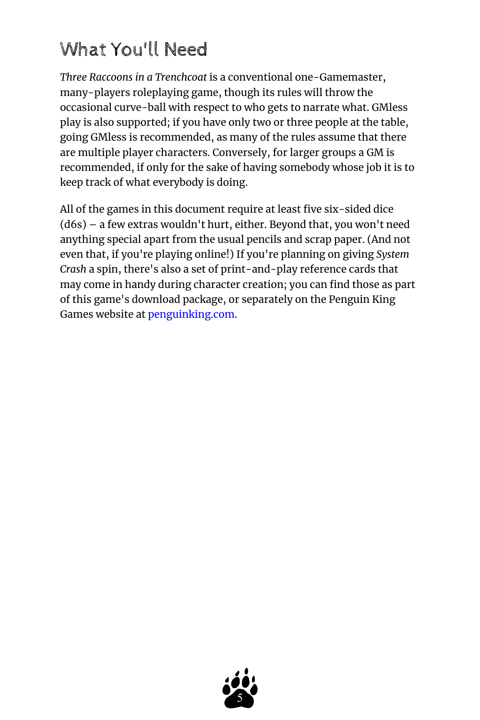## <span id="page-4-0"></span>What You'll Need

*Three Raccoons in a Trenchcoat* is a conventional one-Gamemaster, many-players roleplaying game, though its rules will throw the occasional curve-ball with respect to who gets to narrate what. GMless play is also supported; if you have only two or three people at the table, going GMless is recommended, as many of the rules assume that there are multiple player characters. Conversely, for larger groups a GM is recommended, if only for the sake of having somebody whose job it is to keep track of what everybody is doing.

All of the games in this document require at least five six-sided dice (d6s) – a few extras wouldn't hurt, either. Beyond that, you won't need anything special apart from the usual pencils and scrap paper. (And not even that, if you're playing online!) If you're planning on giving *System Crash* a spin, there's also a set of print-and-play reference cards that may come in handy during character creation; you can find those as part of this game's download package, or separately on the Penguin King Games website at [penguinking.com](https://penguinking.com/).

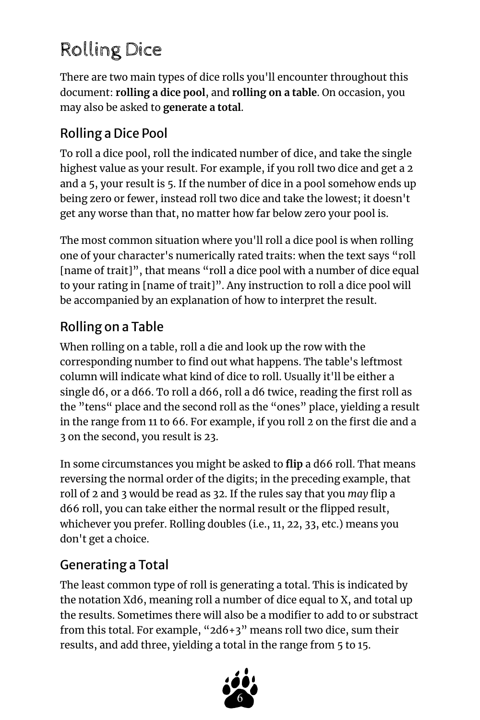# <span id="page-5-0"></span>Rolling Dice

There are two main types of dice rolls you'll encounter throughout this document: **rolling a dice pool**, and **rolling on a table**. On occasion, you may also be asked to **generate a total**.

## <span id="page-5-1"></span>Rolling a Dice Pool

To roll a dice pool, roll the indicated number of dice, and take the single highest value as your result. For example, if you roll two dice and get a 2 and a 5, your result is 5. If the number of dice in a pool somehow ends up being zero or fewer, instead roll two dice and take the lowest; it doesn't get any worse than that, no matter how far below zero your pool is.

The most common situation where you'll roll a dice pool is when rolling one of your character's numerically rated traits: when the text says "roll [name of trait]", that means "roll a dice pool with a number of dice equal to your rating in [name of trait]". Any instruction to roll a dice pool will be accompanied by an explanation of how to interpret the result.

## <span id="page-5-2"></span>Rolling on a Table

When rolling on a table, roll a die and look up the row with the corresponding number to find out what happens. The table's leftmost column will indicate what kind of dice to roll. Usually it'll be either a single d6, or a d66. To roll a d66, roll a d6 twice, reading the first roll as the "tens" place and the second roll as the "ones" place, yielding a result in the range from 11 to 66. For example, if you roll 2 on the first die and a 3 on the second, you result is 23.

In some circumstances you might be asked to **flip** a d66 roll. That means reversing the normal order of the digits; in the preceding example, that roll of 2 and 3 would be read as 32. If the rules say that you *may* flip a d66 roll, you can take either the normal result or the flipped result, whichever you prefer. Rolling doubles (i.e., 11, 22, 33, etc.) means you don't get a choice.

## <span id="page-5-3"></span>Generating a Total

The least common type of roll is generating a total. This is indicated by the notation Xd6, meaning roll a number of dice equal to X, and total up the results. Sometimes there will also be a modifier to add to or substract from this total. For example, "2d6+3" means roll two dice, sum their results, and add three, yielding a total in the range from 5 to 15.

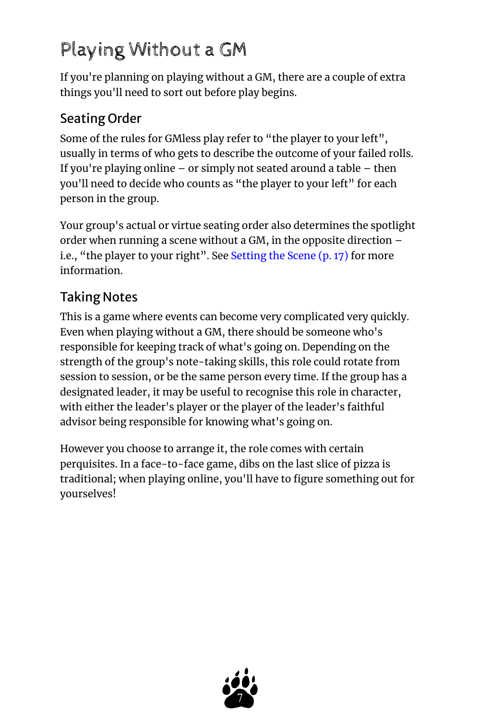# <span id="page-6-0"></span>Playing Without a GM

If you're planning on playing without a GM, there are a couple of extra things you'll need to sort out before play begins.

## <span id="page-6-1"></span>Seating Order

Some of the rules for GMless play refer to "the player to your left", usually in terms of who gets to describe the outcome of your failed rolls. If you're playing online – or simply not seated around a table – then you'll need to decide who counts as "the player to your left" for each person in the group.

Your group's actual or virtue seating order also determines the spotlight order when running a scene without a GM, in the opposite direction – i.e., "the player to your right". See [Setting the Scene](#page-16-0) (p. 17) for more information.

## <span id="page-6-2"></span>Taking Notes

This is a game where events can become very complicated very quickly. Even when playing without a GM, there should be someone who's responsible for keeping track of what's going on. Depending on the strength of the group's note-taking skills, this role could rotate from session to session, or be the same person every time. If the group has a designated leader, it may be useful to recognise this role in character, with either the leader's player or the player of the leader's faithful advisor being responsible for knowing what's going on.

However you choose to arrange it, the role comes with certain perquisites. In a face-to-face game, dibs on the last slice of pizza is traditional; when playing online, you'll have to figure something out for yourselves!

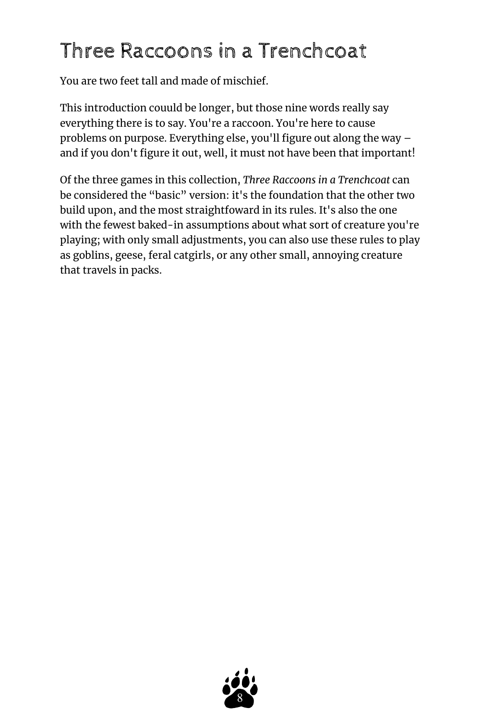# <span id="page-7-0"></span>Three Raccoons in a Trenchcoat

You are two feet tall and made of mischief.

This introduction couuld be longer, but those nine words really say everything there is to say. You're a raccoon. You're here to cause problems on purpose. Everything else, you'll figure out along the way – and if you don't figure it out, well, it must not have been that important!

Of the three games in this collection, *Three Raccoons in a Trenchcoat* can be considered the "basic" version: it's the foundation that the other two build upon, and the most straightfoward in its rules. It's also the one with the fewest baked-in assumptions about what sort of creature you're playing; with only small adjustments, you can also use these rules to play as goblins, geese, feral catgirls, or any other small, annoying creature that travels in packs.

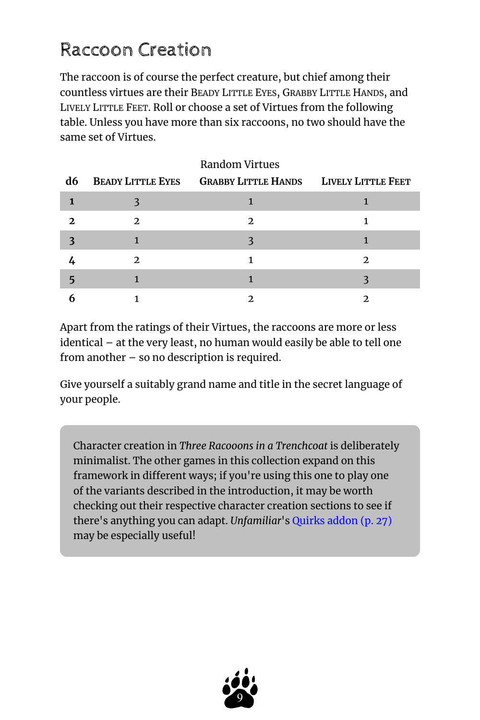## <span id="page-8-0"></span>Raccoon Creation

The raccoon is of course the perfect creature, but chief among their countless virtues are their BEADY LITTLE EYES, GRABBY LITTLE HANDS, and LIVELY LITTLE FEET. Roll or choose a set of Virtues from the following table. Unless you have more than six raccoons, no two should have the same set of Virtues.

| d6 |                | <b>BEADY LITTLE EYES GRABBY LITTLE HANDS LIVELY LITTLE FEET</b> |   |
|----|----------------|-----------------------------------------------------------------|---|
|    |                |                                                                 |   |
|    | $\mathfrak{D}$ | 2.                                                              |   |
|    |                |                                                                 |   |
|    | 2              |                                                                 | 2 |
|    |                |                                                                 |   |
|    |                |                                                                 |   |

Apart from the ratings of their Virtues, the raccoons are more or less identical – at the very least, no human would easily be able to tell one from another – so no description is required.

Give yourself a suitably grand name and title in the secret language of your people.

Character creation in *Three Racooons in a Trenchcoat* is deliberately minimalist. The other games in this collection expand on this framework in different ways; if you're using this one to play one of the variants described in the introduction, it may be worth checking out their respective character creation sections to see if there's anything you can adapt. *Unfamiliar*'s [Quirks addon](#page-26-0) (p. 27) may be especially useful!

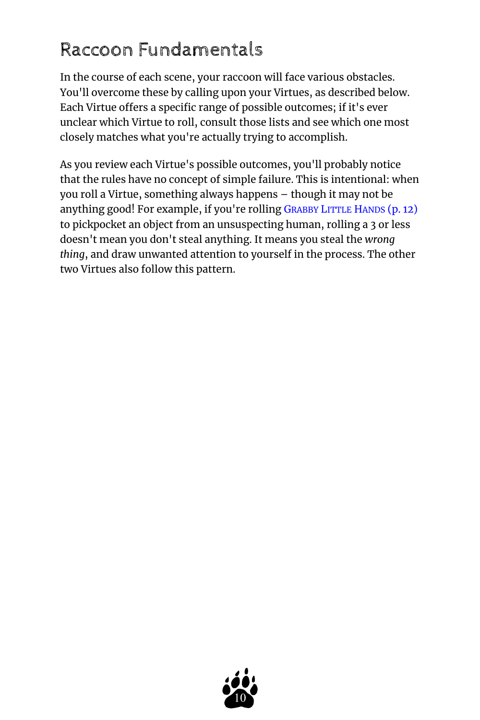## <span id="page-9-0"></span>Raccoon Fundamentals

In the course of each scene, your raccoon will face various obstacles. You'll overcome these by calling upon your Virtues, as described below. Each Virtue offers a specific range of possible outcomes; if it's ever unclear which Virtue to roll, consult those lists and see which one most closely matches what you're actually trying to accomplish.

As you review each Virtue's possible outcomes, you'll probably notice that the rules have no concept of simple failure. This is intentional: when you roll a Virtue, something always happens – though it may not be anything good! For example, if you're rolling G[RABBY](#page-11-0) LITTLE HANDS (p. 12) to pickpocket an object from an unsuspecting human, rolling a 3 or less doesn't mean you don't steal anything. It means you steal the *wrong thing*, and draw unwanted attention to yourself in the process. The other two Virtues also follow this pattern.

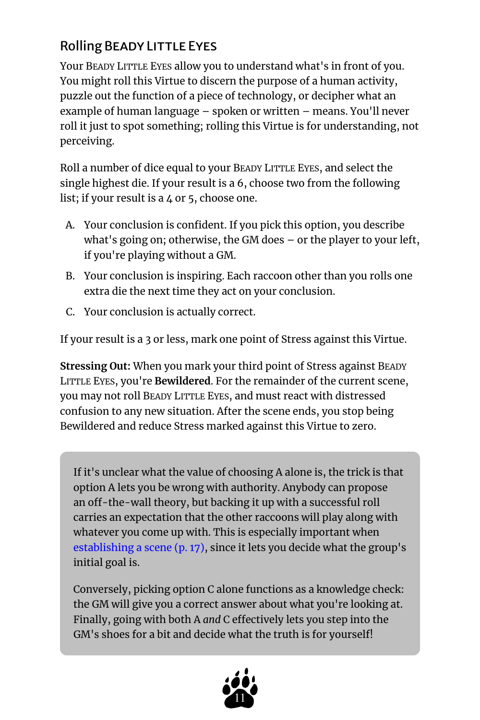## <span id="page-10-0"></span>Rolling BEADY LITTLE EYES

Your BEADY LITTLE EYES allow you to understand what's in front of you. You might roll this Virtue to discern the purpose of a human activity, puzzle out the function of a piece of technology, or decipher what an example of human language – spoken or written – means. You'll never roll it just to spot something; rolling this Virtue is for understanding, not perceiving.

Roll a number of dice equal to your BEADY LITTLE EYES, and select the single highest die. If your result is a 6, choose two from the following list; if your result is a 4 or 5, choose one.

- A. Your conclusion is confident. If you pick this option, you describe what's going on; otherwise, the GM does – or the player to your left, if you're playing without a GM.
- B. Your conclusion is inspiring. Each raccoon other than you rolls one extra die the next time they act on your conclusion.
- C. Your conclusion is actually correct.

If your result is a 3 or less, mark one point of Stress against this Virtue.

**Stressing Out:** When you mark your third point of Stress against BEADY LITTLE EYES, you're **Bewildered**. For the remainder of the current scene, you may not roll BEADY LITTLE EYES, and must react with distressed confusion to any new situation. After the scene ends, you stop being Bewildered and reduce Stress marked against this Virtue to zero.

If it's unclear what the value of choosing A alone is, the trick is that option A lets you be wrong with authority. Anybody can propose an off-the-wall theory, but backing it up with a successful roll carries an expectation that the other raccoons will play along with whatever you come up with. This is especially important when [establishing a scene](#page-16-0) (p. 17), since it lets you decide what the group's initial goal is.

Conversely, picking option C alone functions as a knowledge check: the GM will give you a correct answer about what you're looking at. Finally, going with both A *and* C effectively lets you step into the GM's shoes for a bit and decide what the truth is for yourself!

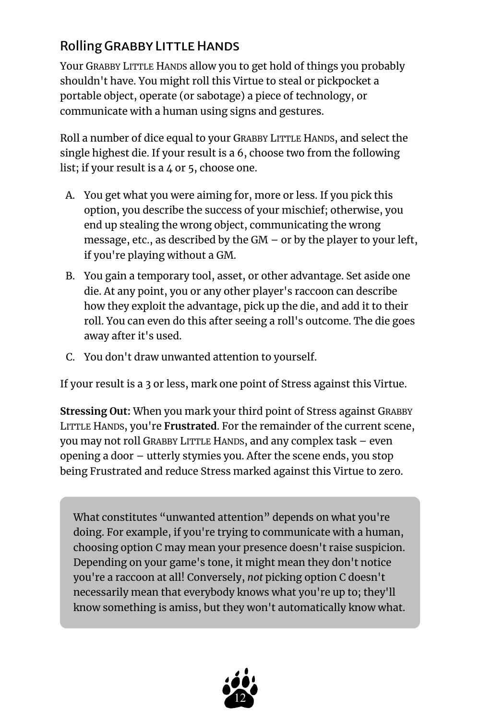## <span id="page-11-0"></span>Rolling GRABBY LITTLE HANDS

Your GRABBY LITTLE HANDS allow you to get hold of things you probably shouldn't have. You might roll this Virtue to steal or pickpocket a portable object, operate (or sabotage) a piece of technology, or communicate with a human using signs and gestures.

Roll a number of dice equal to your GRABBY LITTLE HANDS, and select the single highest die. If your result is a 6, choose two from the following list; if your result is a  $4$  or 5, choose one.

- A. You get what you were aiming for, more or less. If you pick this option, you describe the success of your mischief; otherwise, you end up stealing the wrong object, communicating the wrong message, etc., as described by the GM – or by the player to your left, if you're playing without a GM.
- B. You gain a temporary tool, asset, or other advantage. Set aside one die. At any point, you or any other player's raccoon can describe how they exploit the advantage, pick up the die, and add it to their roll. You can even do this after seeing a roll's outcome. The die goes away after it's used.
- C. You don't draw unwanted attention to yourself.

If your result is a 3 or less, mark one point of Stress against this Virtue.

**Stressing Out:** When you mark your third point of Stress against GRABBY LITTLE HANDS, you're **Frustrated**. For the remainder of the current scene, you may not roll GRABBY LITTLE HANDS, and any complex task – even opening a door – utterly stymies you. After the scene ends, you stop being Frustrated and reduce Stress marked against this Virtue to zero.

What constitutes "unwanted attention" depends on what you're doing. For example, if you're trying to communicate with a human, choosing option C may mean your presence doesn't raise suspicion. Depending on your game's tone, it might mean they don't notice you're a raccoon at all! Conversely, *not* picking option C doesn't necessarily mean that everybody knows what you're up to; they'll know something is amiss, but they won't automatically know what.

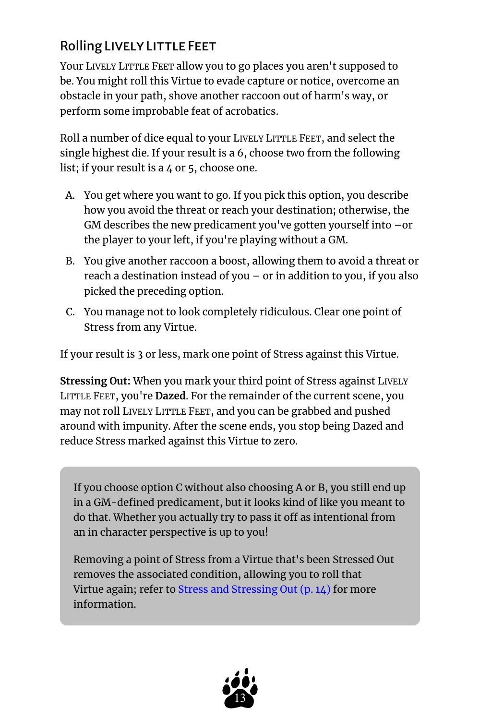## <span id="page-12-0"></span>Rolling LIVELY LITTLE FEET

Your LIVELY LITTLE FEET allow you to go places you aren't supposed to be. You might roll this Virtue to evade capture or notice, overcome an obstacle in your path, shove another raccoon out of harm's way, or perform some improbable feat of acrobatics.

Roll a number of dice equal to your LIVELY LITTLE FEET, and select the single highest die. If your result is a 6, choose two from the following list; if your result is a 4 or 5, choose one.

- A. You get where you want to go. If you pick this option, you describe how you avoid the threat or reach your destination; otherwise, the GM describes the new predicament you've gotten yourself into –or the player to your left, if you're playing without a GM.
- B. You give another raccoon a boost, allowing them to avoid a threat or reach a destination instead of you – or in addition to you, if you also picked the preceding option.
- C. You manage not to look completely ridiculous. Clear one point of Stress from any Virtue.

If your result is 3 or less, mark one point of Stress against this Virtue.

**Stressing Out:** When you mark your third point of Stress against LIVELY LITTLE FEET, you're **Dazed**. For the remainder of the current scene, you may not roll LIVELY LITTLE FEET, and you can be grabbed and pushed around with impunity. After the scene ends, you stop being Dazed and reduce Stress marked against this Virtue to zero.

If you choose option C without also choosing A or B, you still end up in a GM-defined predicament, but it looks kind of like you meant to do that. Whether you actually try to pass it off as intentional from an in character perspective is up to you!

Removing a point of Stress from a Virtue that's been Stressed Out removes the associated condition, allowing you to roll that Virtue again; refer to [Stress and Stressing Out](#page-13-0) (p. 14) for more information.

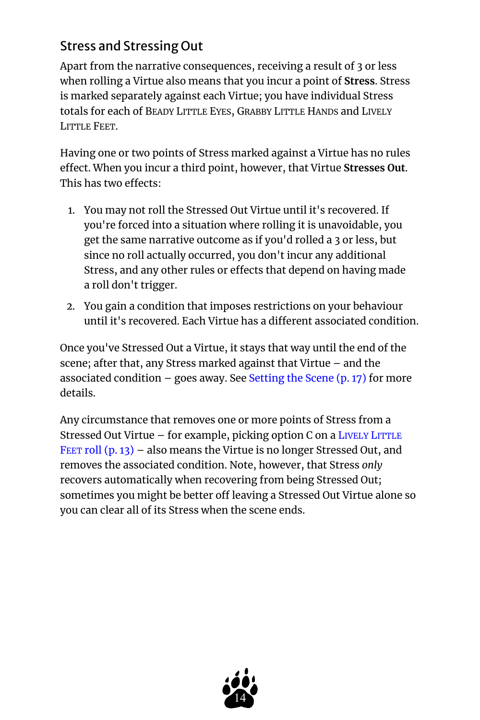## <span id="page-13-0"></span>Stress and Stressing Out

Apart from the narrative consequences, receiving a result of 3 or less when rolling a Virtue also means that you incur a point of **Stress**. Stress is marked separately against each Virtue; you have individual Stress totals for each of BEADY LITTLE EYES, GRABBY LITTLE HANDS and LIVELY LITTLE FEET.

Having one or two points of Stress marked against a Virtue has no rules effect. When you incur a third point, however, that Virtue **Stresses Out**. This has two effects:

- 1. You may not roll the Stressed Out Virtue until it's recovered. If you're forced into a situation where rolling it is unavoidable, you get the same narrative outcome as if you'd rolled a 3 or less, but since no roll actually occurred, you don't incur any additional Stress, and any other rules or effects that depend on having made a roll don't trigger.
- 2. You gain a condition that imposes restrictions on your behaviour until it's recovered. Each Virtue has a different associated condition.

Once you've Stressed Out a Virtue, it stays that way until the end of the scene; after that, any Stress marked against that Virtue – and the associated condition – goes away. See [Setting the Scene](#page-16-0)  $(p. 17)$  for more details.

Any circumstance that removes one or more points of Stress from a Stressed Out Virtue – for example, picking option C on a LIVELY L[ITTLE](#page-12-0) FEET [roll](#page-12-0) (p. 13) – also means the Virtue is no longer Stressed Out, and removes the associated condition. Note, however, that Stress *only*  recovers automatically when recovering from being Stressed Out; sometimes you might be better off leaving a Stressed Out Virtue alone so you can clear all of its Stress when the scene ends.

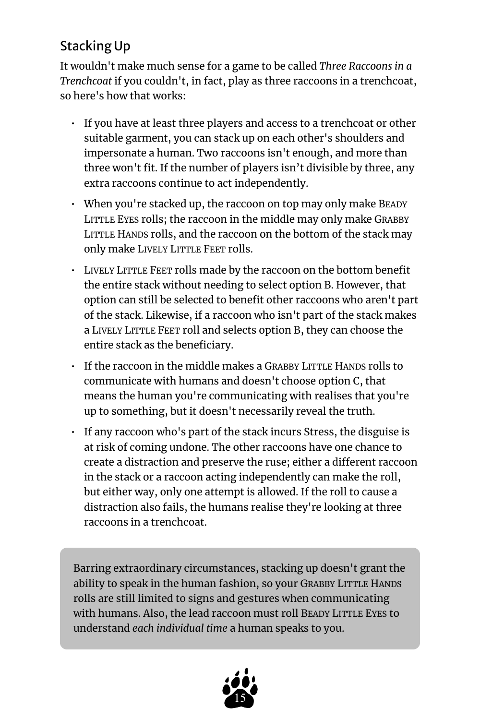## <span id="page-14-0"></span>Stacking Up

It wouldn't make much sense for a game to be called *Three Raccoons in a Trenchcoat* if you couldn't, in fact, play as three raccoons in a trenchcoat, so here's how that works:

- If you have at least three players and access to a trenchcoat or other suitable garment, you can stack up on each other's shoulders and impersonate a human. Two raccoons isn't enough, and more than three won't fit. If the number of players isn't divisible by three, any extra raccoons continue to act independently.
- When you're stacked up, the raccoon on top may only make BEADY LITTLE EYES rolls; the raccoon in the middle may only make GRABBY LITTLE HANDS rolls, and the raccoon on the bottom of the stack may only make LIVELY LITTLE FEET rolls.
- LIVELY LITTLE FEET rolls made by the raccoon on the bottom benefit the entire stack without needing to select option B. However, that option can still be selected to benefit other raccoons who aren't part of the stack. Likewise, if a raccoon who isn't part of the stack makes a LIVELY LITTLE FEET roll and selects option B, they can choose the entire stack as the beneficiary.
- If the raccoon in the middle makes a GRABBY LITTLE HANDS rolls to communicate with humans and doesn't choose option C, that means the human you're communicating with realises that you're up to something, but it doesn't necessarily reveal the truth.
- If any raccoon who's part of the stack incurs Stress, the disguise is at risk of coming undone. The other raccoons have one chance to create a distraction and preserve the ruse; either a different raccoon in the stack or a raccoon acting independently can make the roll, but either way, only one attempt is allowed. If the roll to cause a distraction also fails, the humans realise they're looking at three raccoons in a trenchcoat.

Barring extraordinary circumstances, stacking up doesn't grant the ability to speak in the human fashion, so your GRABBY LITTLE HANDS rolls are still limited to signs and gestures when communicating with humans. Also, the lead raccoon must roll BEADY LITTLE EYES to understand *each individual time* a human speaks to you.

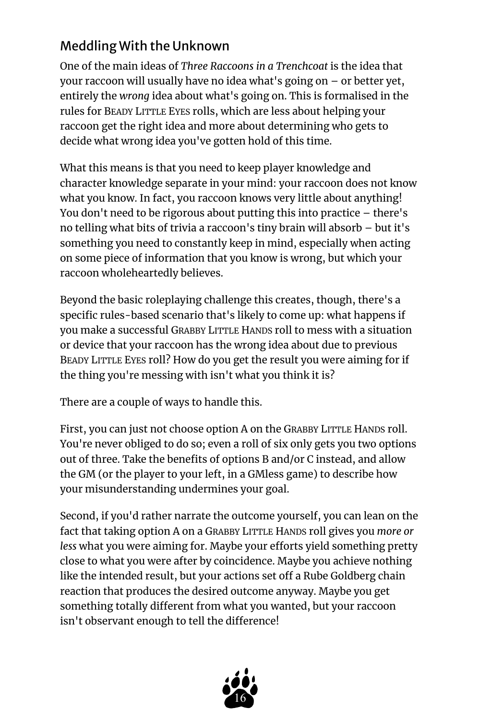## <span id="page-15-0"></span>Meddling With the Unknown

One of the main ideas of *Three Raccoons in a Trenchcoat* is the idea that your raccoon will usually have no idea what's going on – or better yet, entirely the *wrong* idea about what's going on. This is formalised in the rules for BEADY LITTLE EYES rolls, which are less about helping your raccoon get the right idea and more about determining who gets to decide what wrong idea you've gotten hold of this time.

What this means is that you need to keep player knowledge and character knowledge separate in your mind: your raccoon does not know what you know. In fact, you raccoon knows very little about anything! You don't need to be rigorous about putting this into practice – there's no telling what bits of trivia a raccoon's tiny brain will absorb – but it's something you need to constantly keep in mind, especially when acting on some piece of information that you know is wrong, but which your raccoon wholeheartedly believes.

Beyond the basic roleplaying challenge this creates, though, there's a specific rules-based scenario that's likely to come up: what happens if you make a successful GRABBY LITTLE HANDS roll to mess with a situation or device that your raccoon has the wrong idea about due to previous BEADY LITTLE EYES roll? How do you get the result you were aiming for if the thing you're messing with isn't what you think it is?

There are a couple of ways to handle this.

First, you can just not choose option A on the GRABBY LITTLE HANDS roll. You're never obliged to do so; even a roll of six only gets you two options out of three. Take the benefits of options B and/or C instead, and allow the GM (or the player to your left, in a GMless game) to describe how your misunderstanding undermines your goal.

Second, if you'd rather narrate the outcome yourself, you can lean on the fact that taking option A on a GRABBY LITTLE HANDS roll gives you *more or less* what you were aiming for. Maybe your efforts yield something pretty close to what you were after by coincidence. Maybe you achieve nothing like the intended result, but your actions set off a Rube Goldberg chain reaction that produces the desired outcome anyway. Maybe you get something totally different from what you wanted, but your raccoon isn't observant enough to tell the difference!

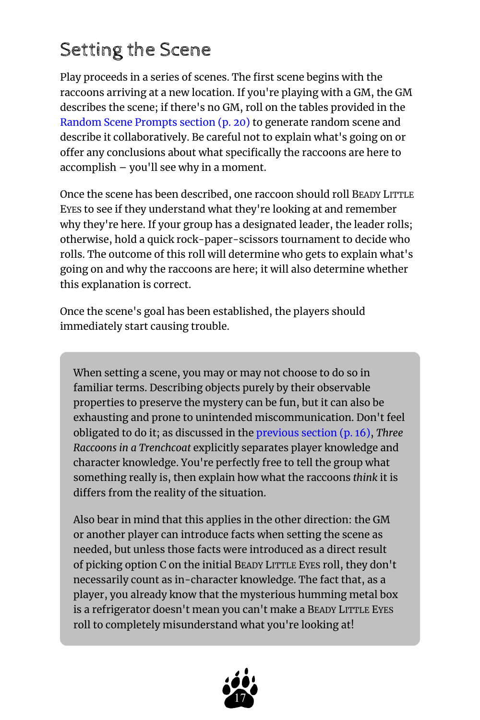## <span id="page-16-0"></span>Setting the Scene

Play proceeds in a series of scenes. The first scene begins with the raccoons arriving at a new location. If you're playing with a GM, the GM describes the scene; if there's no GM, roll on the tables provided in the [Random Scene Prompts section](#page-19-0) (p. 20) to generate random scene and describe it collaboratively. Be careful not to explain what's going on or offer any conclusions about what specifically the raccoons are here to accomplish – you'll see why in a moment.

Once the scene has been described, one raccoon should roll BEADY LITTLE EYES to see if they understand what they're looking at and remember why they're here. If your group has a designated leader, the leader rolls; otherwise, hold a quick rock-paper-scissors tournament to decide who rolls. The outcome of this roll will determine who gets to explain what's going on and why the raccoons are here; it will also determine whether this explanation is correct.

Once the scene's goal has been established, the players should immediately start causing trouble.

When setting a scene, you may or may not choose to do so in familiar terms. Describing objects purely by their observable properties to preserve the mystery can be fun, but it can also be exhausting and prone to unintended miscommunication. Don't feel obligated to do it; as discussed in the [previous section](#page-15-0) (p. 16), *Three Raccoons in a Trenchcoat* explicitly separates player knowledge and character knowledge. You're perfectly free to tell the group what something really is, then explain how what the raccoons *think* it is differs from the reality of the situation.

Also bear in mind that this applies in the other direction: the GM or another player can introduce facts when setting the scene as needed, but unless those facts were introduced as a direct result of picking option C on the initial BEADY LITTLE EYES roll, they don't necessarily count as in-character knowledge. The fact that, as a player, you already know that the mysterious humming metal box is a refrigerator doesn't mean you can't make a BEADY LITTLE EYES roll to completely misunderstand what you're looking at!

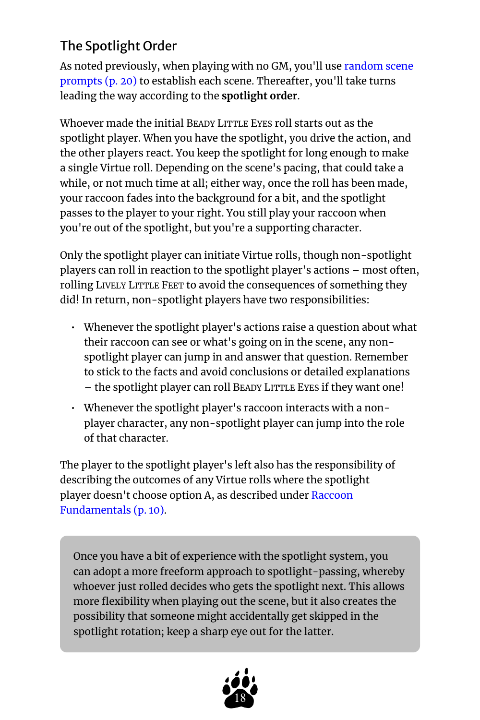## <span id="page-17-0"></span>The Spotlight Order

As noted previously, when playing with no GM, you'll use [random scene](#page-19-0)  [prompts](#page-19-0) (p. 20) to establish each scene. Thereafter, you'll take turns leading the way according to the **spotlight order**.

Whoever made the initial BEADY LITTLE EYES roll starts out as the spotlight player. When you have the spotlight, you drive the action, and the other players react. You keep the spotlight for long enough to make a single Virtue roll. Depending on the scene's pacing, that could take a while, or not much time at all; either way, once the roll has been made, your raccoon fades into the background for a bit, and the spotlight passes to the player to your right. You still play your raccoon when you're out of the spotlight, but you're a supporting character.

Only the spotlight player can initiate Virtue rolls, though non-spotlight players can roll in reaction to the spotlight player's actions – most often, rolling LIVELY LITTLE FEET to avoid the consequences of something they did! In return, non-spotlight players have two responsibilities:

- Whenever the spotlight player's actions raise a question about what their raccoon can see or what's going on in the scene, any nonspotlight player can jump in and answer that question. Remember to stick to the facts and avoid conclusions or detailed explanations – the spotlight player can roll BEADY LITTLE EYES if they want one!
- Whenever the spotlight player's raccoon interacts with a nonplayer character, any non-spotlight player can jump into the role of that character.

The player to the spotlight player's left also has the responsibility of describing the outcomes of any Virtue rolls where the spotlight player doesn't choose option A, as described under [Raccoon](#page-9-0)  [Fundamentals](#page-9-0) (p. 10).

Once you have a bit of experience with the spotlight system, you can adopt a more freeform approach to spotlight-passing, whereby whoever just rolled decides who gets the spotlight next. This allows more flexibility when playing out the scene, but it also creates the possibility that someone might accidentally get skipped in the spotlight rotation; keep a sharp eye out for the latter.

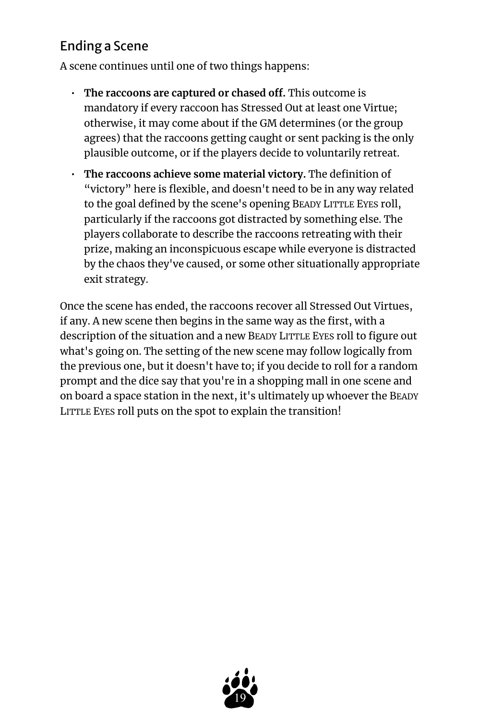## <span id="page-18-0"></span>Ending a Scene

A scene continues until one of two things happens:

- **The raccoons are captured or chased off.** This outcome is mandatory if every raccoon has Stressed Out at least one Virtue; otherwise, it may come about if the GM determines (or the group agrees) that the raccoons getting caught or sent packing is the only plausible outcome, or if the players decide to voluntarily retreat.
- **The raccoons achieve some material victory.** The definition of "victory" here is flexible, and doesn't need to be in any way related to the goal defined by the scene's opening BEADY LITTLE EYES roll, particularly if the raccoons got distracted by something else. The players collaborate to describe the raccoons retreating with their prize, making an inconspicuous escape while everyone is distracted by the chaos they've caused, or some other situationally appropriate exit strategy.

Once the scene has ended, the raccoons recover all Stressed Out Virtues, if any. A new scene then begins in the same way as the first, with a description of the situation and a new BEADY LITTLE EYES roll to figure out what's going on. The setting of the new scene may follow logically from the previous one, but it doesn't have to; if you decide to roll for a random prompt and the dice say that you're in a shopping mall in one scene and on board a space station in the next, it's ultimately up whoever the BEADY LITTLE EYES roll puts on the spot to explain the transition!

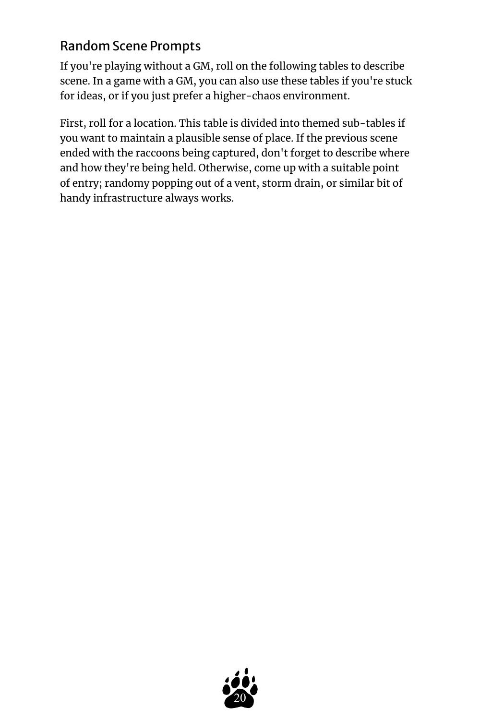## <span id="page-19-0"></span>Random Scene Prompts

If you're playing without a GM, roll on the following tables to describe scene. In a game with a GM, you can also use these tables if you're stuck for ideas, or if you just prefer a higher-chaos environment.

First, roll for a location. This table is divided into themed sub-tables if you want to maintain a plausible sense of place. If the previous scene ended with the raccoons being captured, don't forget to describe where and how they're being held. Otherwise, come up with a suitable point of entry; randomy popping out of a vent, storm drain, or similar bit of handy infrastructure always works.

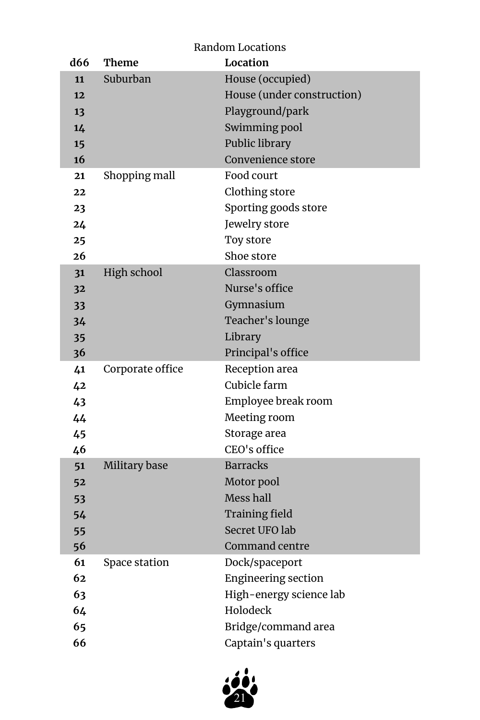<span id="page-20-0"></span>

| Random Locations |     |                  |                            |
|------------------|-----|------------------|----------------------------|
|                  | d66 | Theme            | Location                   |
|                  | 11  | Suburban         | House (occupied)           |
|                  | 12  |                  | House (under construction) |
|                  | 13  |                  | Playground/park            |
|                  | 14  |                  | Swimming pool              |
|                  | 15  |                  | Public library             |
|                  | 16  |                  | Convenience store          |
|                  | 21  | Shopping mall    | Food court                 |
|                  | 22  |                  | Clothing store             |
|                  | 23  |                  | Sporting goods store       |
|                  | 24  |                  | Jewelry store              |
|                  | 25  |                  | Toy store                  |
|                  | 26  |                  | Shoe store                 |
|                  | 31  | High school      | Classroom                  |
|                  | 32  |                  | Nurse's office             |
|                  | 33  |                  | Gymnasium                  |
|                  | 34  |                  | Teacher's lounge           |
|                  | 35  |                  | Library                    |
|                  | 36  |                  | Principal's office         |
|                  | 41  | Corporate office | Reception area             |
|                  | 42  |                  | Cubicle farm               |
|                  | 43  |                  | Employee break room        |
|                  | 44  |                  | Meeting room               |
|                  | 45  |                  | Storage area               |
|                  | 46  |                  | CEO's office               |
|                  | 51  | Military base    | <b>Barracks</b>            |
|                  | 52  |                  | Motor pool                 |
|                  | 53  |                  | Mess hall                  |
|                  | 54  |                  | <b>Training field</b>      |
|                  | 55  |                  | Secret UFO lab             |
|                  | 56  |                  | Command centre             |
|                  | 61  | Space station    | Dock/spaceport             |
|                  | 62  |                  | <b>Engineering section</b> |
|                  | 63  |                  | High-energy science lab    |
|                  | 64  |                  | Holodeck                   |
|                  | 65  |                  | Bridge/command area        |
|                  | 66  |                  | Captain's quarters         |

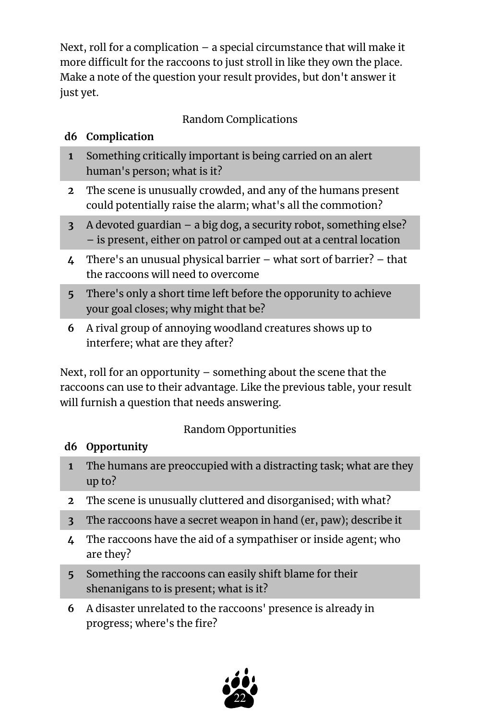Next, roll for a complication – a special circumstance that will make it more difficult for the raccoons to just stroll in like they own the place. Make a note of the question your result provides, but don't answer it just yet.

## Random Complications

## **d6 Complication**

- **1** Something critically important is being carried on an alert human's person; what is it?
- **2** The scene is unusually crowded, and any of the humans present could potentially raise the alarm; what's all the commotion?
- **3** A devoted guardian a big dog, a security robot, something else? – is present, either on patrol or camped out at a central location
- **4** There's an unusual physical barrier what sort of barrier? that the raccoons will need to overcome
- **5** There's only a short time left before the opporunity to achieve your goal closes; why might that be?
- **6** A rival group of annoying woodland creatures shows up to interfere; what are they after?

Next, roll for an opportunity – something about the scene that the raccoons can use to their advantage. Like the previous table, your result will furnish a question that needs answering.

## Random Opportunities

## **d6 Opportunity**

- **1** The humans are preoccupied with a distracting task; what are they up to?
- **2** The scene is unusually cluttered and disorganised; with what?
- **3** The raccoons have a secret weapon in hand (er, paw); describe it
- **4** The raccoons have the aid of a sympathiser or inside agent; who are they?
- **5** Something the raccoons can easily shift blame for their shenanigans to is present; what is it?
- **6** A disaster unrelated to the raccoons' presence is already in progress; where's the fire?

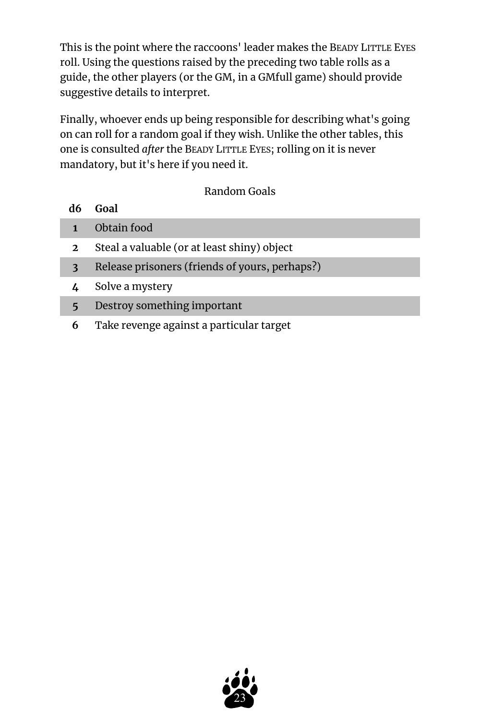This is the point where the raccoons' leader makes the BEADY LITTLE EYES roll. Using the questions raised by the preceding two table rolls as a guide, the other players (or the GM, in a GMfull game) should provide suggestive details to interpret.

Finally, whoever ends up being responsible for describing what's going on can roll for a random goal if they wish. Unlike the other tables, this one is consulted *after* the BEADY LITTLE EYES; rolling on it is never mandatory, but it's here if you need it.

#### Random Goals

- **1** Obtain food
- **2** Steal a valuable (or at least shiny) object
- **3** Release prisoners (friends of yours, perhaps?)
- **4** Solve a mystery
- **5** Destroy something important
- **6** Take revenge against a particular target

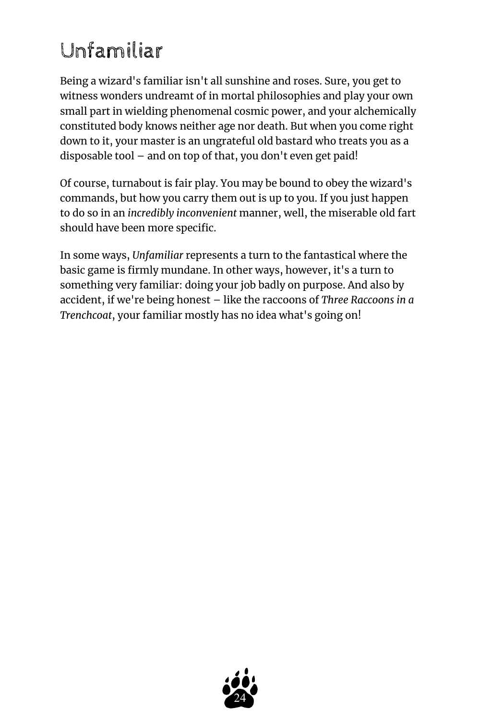# <span id="page-23-0"></span>Unfamiliar

Being a wizard's familiar isn't all sunshine and roses. Sure, you get to witness wonders undreamt of in mortal philosophies and play your own small part in wielding phenomenal cosmic power, and your alchemically constituted body knows neither age nor death. But when you come right down to it, your master is an ungrateful old bastard who treats you as a disposable tool – and on top of that, you don't even get paid!

Of course, turnabout is fair play. You may be bound to obey the wizard's commands, but how you carry them out is up to you. If you just happen to do so in an *incredibly inconvenient* manner, well, the miserable old fart should have been more specific.

In some ways, *Unfamiliar* represents a turn to the fantastical where the basic game is firmly mundane. In other ways, however, it's a turn to something very familiar: doing your job badly on purpose. And also by accident, if we're being honest – like the raccoons of *Three Raccoons in a Trenchcoat*, your familiar mostly has no idea what's going on!

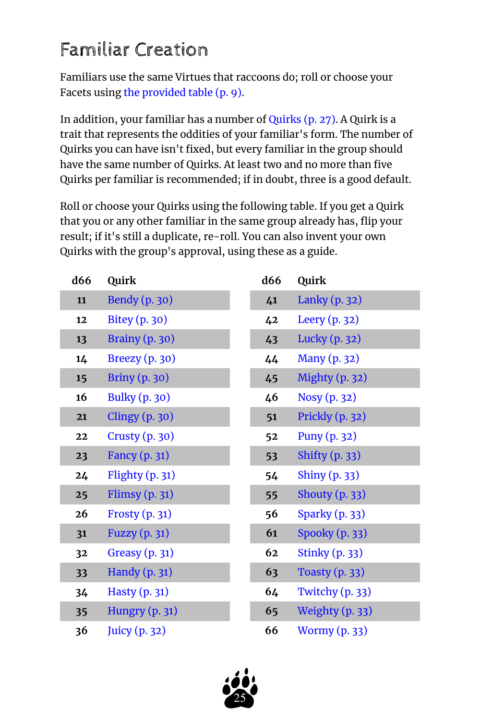## <span id="page-24-0"></span>Familiar Creation

Familiars use the same Virtues that raccoons do; roll or choose your Facets using [the provided table](#page-8-0) (p. 9).

In addition, your familiar has a number of [Quirks](#page-26-0) (p. 27). A Quirk is a trait that represents the oddities of your familiar's form. The number of Quirks you can have isn't fixed, but every familiar in the group should have the same number of Quirks. At least two and no more than five Quirks per familiar is recommended; if in doubt, three is a good default.

Roll or choose your Quirks using the following table. If you get a Quirk that you or any other familiar in the same group already has, flip your result; if it's still a duplicate, re-roll. You can also invent your own Quirks with the group's approval, using these as a guide.

<span id="page-24-1"></span>

| d66 | Quirk                 |
|-----|-----------------------|
| 11  | <b>Bendy</b> (p. 30)  |
| 12  | Bitey (p. 30)         |
| 13  | Brainy (p. 30)        |
| 14  | Breezy (p. 30)        |
| 15  | <b>Briny</b> (p. 30)  |
| 16  | <b>Bulky</b> (p. 30)  |
| 21  | <b>Clingy (p. 30)</b> |
| 22  | Crusty (p. 30)        |
| 23  | Fancy (p. 31)         |
| 24  | Flighty (p. 31)       |
| 25  | Flimsy $(p. 31)$      |
| 26  | <b>Frosty (p. 31)</b> |
| 31  | Fuzzy (p. 31)         |
| 32  | Greasy (p. 31)        |
| 33  | Handy (p. 31)         |
| 34  | Hasty (p. 31)         |
| 35  | Hungry (p. 31)        |
| 36  | Juicy (p. 32)         |

| d66 | Quirk                 |
|-----|-----------------------|
| 41  | Lanky (p. 32)         |
| 42  | Leery (p. 32)         |
| 43  | Lucky (p. 32)         |
| 44  | <b>Many (p. 32)</b>   |
| 45  | Mighty (p. 32)        |
| 46  | Nosy (p. 32)          |
| 51  | Prickly (p. 32)       |
| 52  | Puny (p. 32)          |
| 53  | <b>Shifty (p. 33)</b> |
| 54  | Shiny (p. 33)         |
| 55  | Shouty (p. 33)        |
| 56  | Sparky (p. 33)        |
| 61  | Spooky (p. 33)        |
| 62  | <b>Stinky (p. 33)</b> |
| 63  | <b>Toasty (p. 33)</b> |
| 64  | Twitchy (p. 33)       |
| 65  | Weighty (p. 33)       |
| 66  | <b>Wormy (p. 33)</b>  |

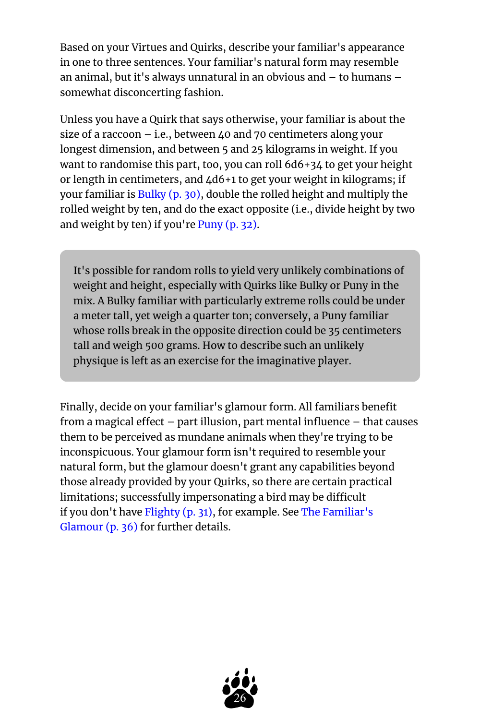Based on your Virtues and Quirks, describe your familiar's appearance in one to three sentences. Your familiar's natural form may resemble an animal, but it's always unnatural in an obvious and – to humans – somewhat disconcerting fashion.

Unless you have a Quirk that says otherwise, your familiar is about the size of a raccoon  $-$  i.e., between 40 and 70 centimeters along your longest dimension, and between 5 and 25 kilograms in weight. If you want to randomise this part, too, you can roll 6d6+34 to get your height or length in centimeters, and 4d6+1 to get your weight in kilograms; if your familiar is [Bulky](#page-29-6) (p. 30), double the rolled height and multiply the rolled weight by ten, and do the exact opposite (i.e., divide height by two and weight by ten) if you're [Puny](#page-31-8) (p. 32).

It's possible for random rolls to yield very unlikely combinations of weight and height, especially with Quirks like Bulky or Puny in the mix. A Bulky familiar with particularly extreme rolls could be under a meter tall, yet weigh a quarter ton; conversely, a Puny familiar whose rolls break in the opposite direction could be 35 centimeters tall and weigh 500 grams. How to describe such an unlikely physique is left as an exercise for the imaginative player.

Finally, decide on your familiar's glamour form. All familiars benefit from a magical effect – part illusion, part mental influence – that causes them to be perceived as mundane animals when they're trying to be inconspicuous. Your glamour form isn't required to resemble your natural form, but the glamour doesn't grant any capabilities beyond those already provided by your Quirks, so there are certain practical limitations; successfully impersonating a bird may be difficult if you don't have [Flighty](#page-30-1) (p. 31), for example. See [The Familiar's](#page-35-0)  [Glamour](#page-35-0) (p. 36) for further details.

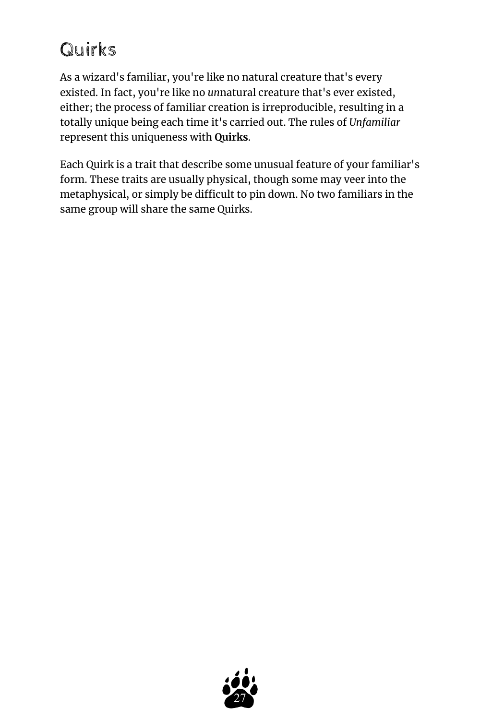## <span id="page-26-0"></span>Quirks

As a wizard's familiar, you're like no natural creature that's every existed. In fact, you're like no *un*natural creature that's ever existed, either; the process of familiar creation is irreproducible, resulting in a totally unique being each time it's carried out. The rules of *Unfamiliar*  represent this uniqueness with **Quirks**.

Each Quirk is a trait that describe some unusual feature of your familiar's form. These traits are usually physical, though some may veer into the metaphysical, or simply be difficult to pin down. No two familiars in the same group will share the same Quirks.

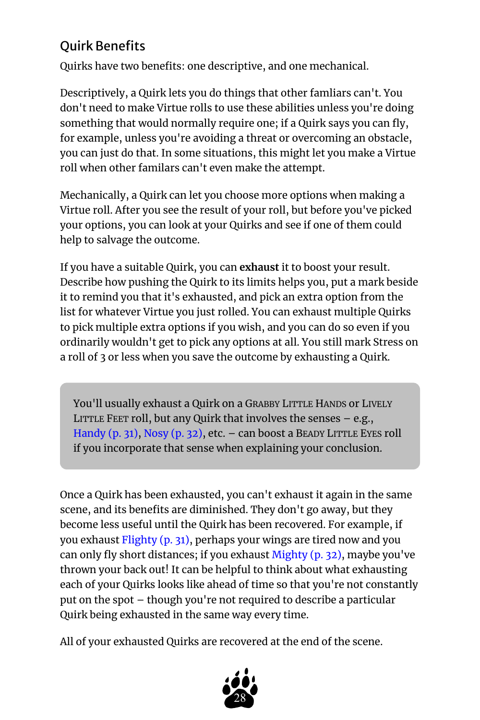## <span id="page-27-0"></span>Quirk Benefits

Quirks have two benefits: one descriptive, and one mechanical.

Descriptively, a Quirk lets you do things that other famliars can't. You don't need to make Virtue rolls to use these abilities unless you're doing something that would normally require one; if a Quirk says you can fly, for example, unless you're avoiding a threat or overcoming an obstacle, you can just do that. In some situations, this might let you make a Virtue roll when other familars can't even make the attempt.

Mechanically, a Quirk can let you choose more options when making a Virtue roll. After you see the result of your roll, but before you've picked your options, you can look at your Quirks and see if one of them could help to salvage the outcome.

If you have a suitable Quirk, you can **exhaust** it to boost your result. Describe how pushing the Quirk to its limits helps you, put a mark beside it to remind you that it's exhausted, and pick an extra option from the list for whatever Virtue you just rolled. You can exhaust multiple Quirks to pick multiple extra options if you wish, and you can do so even if you ordinarily wouldn't get to pick any options at all. You still mark Stress on a roll of 3 or less when you save the outcome by exhausting a Quirk.

You'll usually exhaust a Quirk on a GRABBY LITTLE HANDS or LIVELY LITTLE FEET roll, but any Quirk that involves the senses – e.g., [Handy](#page-30-6) (p. 31), [Nosy](#page-31-6) (p. 32), etc. - can boost a BEADY LITTLE EYES roll if you incorporate that sense when explaining your conclusion.

Once a Quirk has been exhausted, you can't exhaust it again in the same scene, and its benefits are diminished. They don't go away, but they become less useful until the Quirk has been recovered. For example, if you exhaust [Flighty](#page-30-1) (p. 31), perhaps your wings are tired now and you can only fly short distances; if you exhaust [Mighty](#page-31-5) (p. 32), maybe you've thrown your back out! It can be helpful to think about what exhausting each of your Quirks looks like ahead of time so that you're not constantly put on the spot – though you're not required to describe a particular Quirk being exhausted in the same way every time.

All of your exhausted Quirks are recovered at the end of the scene.

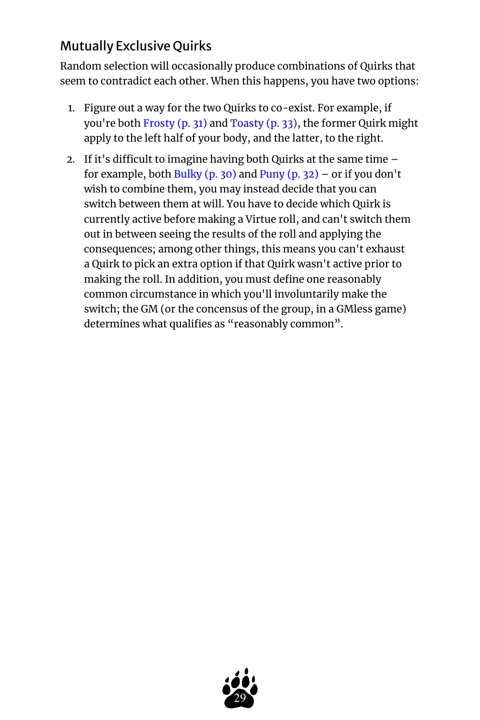## <span id="page-28-0"></span>Mutually Exclusive Quirks

Random selection will occasionally produce combinations of Quirks that seem to contradict each other. When this happens, you have two options:

- 1. Figure out a way for the two Quirks to co-exist. For example, if you're both [Frosty](#page-30-3) (p. 31) and [Toasty](#page-32-6) (p. 33), the former Quirk might apply to the left half of your body, and the latter, to the right.
- 2. If it's difficult to imagine having both Quirks at the same time for example, both [Bulky](#page-29-6) (p. 30) and [Puny](#page-31-8) (p. 32) – or if you don't wish to combine them, you may instead decide that you can switch between them at will. You have to decide which Quirk is currently active before making a Virtue roll, and can't switch them out in between seeing the results of the roll and applying the consequences; among other things, this means you can't exhaust a Quirk to pick an extra option if that Quirk wasn't active prior to making the roll. In addition, you must define one reasonably common circumstance in which you'll involuntarily make the switch; the GM (or the concensus of the group, in a GMless game) determines what qualifies as "reasonably common".

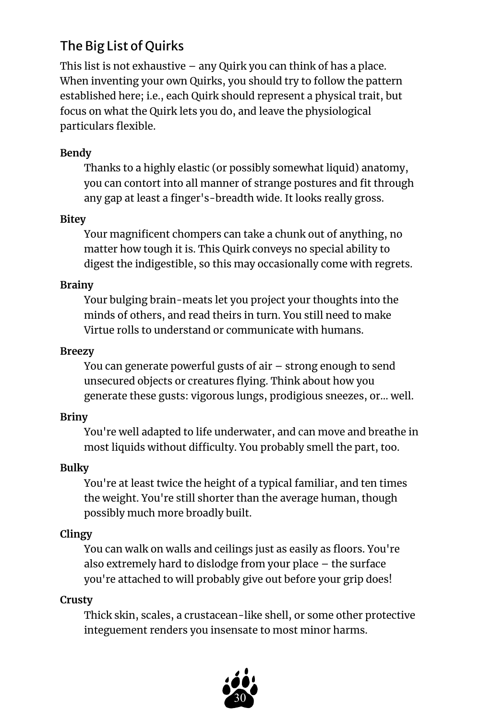## <span id="page-29-0"></span>The Big List of Quirks

This list is not exhaustive – any Quirk you can think of has a place. When inventing your own Quirks, you should try to follow the pattern established here; i.e., each Quirk should represent a physical trait, but focus on what the Quirk lets you do, and leave the physiological particulars flexible.

## <span id="page-29-1"></span>**Bendy**

Thanks to a highly elastic (or possibly somewhat liquid) anatomy, you can contort into all manner of strange postures and fit through any gap at least a finger's-breadth wide. It looks really gross.

## <span id="page-29-2"></span>**Bitey**

Your magnificent chompers can take a chunk out of anything, no matter how tough it is. This Quirk conveys no special ability to digest the indigestible, so this may occasionally come with regrets.

#### <span id="page-29-3"></span>**Brainy**

Your bulging brain-meats let you project your thoughts into the minds of others, and read theirs in turn. You still need to make Virtue rolls to understand or communicate with humans.

#### <span id="page-29-4"></span>**Breezy**

You can generate powerful gusts of air – strong enough to send unsecured objects or creatures flying. Think about how you generate these gusts: vigorous lungs, prodigious sneezes, or… well.

## <span id="page-29-5"></span>**Briny**

You're well adapted to life underwater, and can move and breathe in most liquids without difficulty. You probably smell the part, too.

## <span id="page-29-6"></span>**Bulky**

You're at least twice the height of a typical familiar, and ten times the weight. You're still shorter than the average human, though possibly much more broadly built.

## <span id="page-29-7"></span>**Clingy**

You can walk on walls and ceilings just as easily as floors. You're also extremely hard to dislodge from your place – the surface you're attached to will probably give out before your grip does!

#### <span id="page-29-8"></span>**Crusty**

Thick skin, scales, a crustacean-like shell, or some other protective integuement renders you insensate to most minor harms.

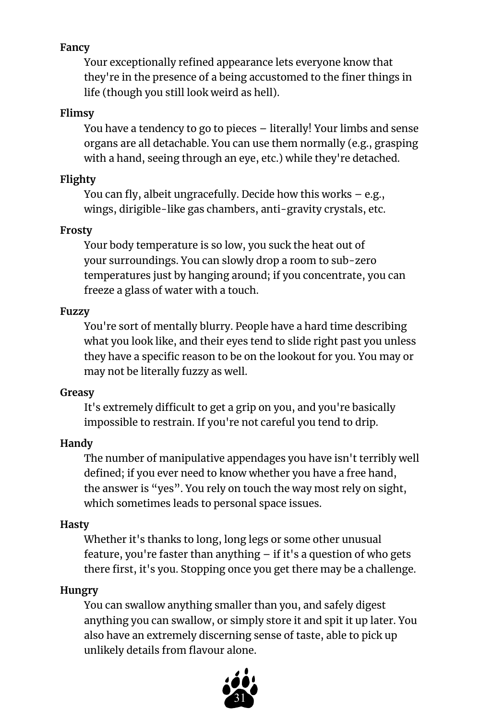## <span id="page-30-0"></span>**Fancy**

Your exceptionally refined appearance lets everyone know that they're in the presence of a being accustomed to the finer things in life (though you still look weird as hell).

#### <span id="page-30-2"></span>**Flimsy**

You have a tendency to go to pieces – literally! Your limbs and sense organs are all detachable. You can use them normally (e.g., grasping with a hand, seeing through an eye, etc.) while they're detached.

## <span id="page-30-1"></span>**Flighty**

You can fly, albeit ungracefully. Decide how this works – e.g., wings, dirigible-like gas chambers, anti-gravity crystals, etc.

## <span id="page-30-3"></span>**Frosty**

Your body temperature is so low, you suck the heat out of your surroundings. You can slowly drop a room to sub-zero temperatures just by hanging around; if you concentrate, you can freeze a glass of water with a touch.

#### <span id="page-30-4"></span>**Fuzzy**

You're sort of mentally blurry. People have a hard time describing what you look like, and their eyes tend to slide right past you unless they have a specific reason to be on the lookout for you. You may or may not be literally fuzzy as well.

## <span id="page-30-5"></span>**Greasy**

It's extremely difficult to get a grip on you, and you're basically impossible to restrain. If you're not careful you tend to drip.

## <span id="page-30-6"></span>**Handy**

The number of manipulative appendages you have isn't terribly well defined; if you ever need to know whether you have a free hand, the answer is "yes". You rely on touch the way most rely on sight, which sometimes leads to personal space issues.

## <span id="page-30-7"></span>**Hasty**

Whether it's thanks to long, long legs or some other unusual feature, you're faster than anything – if it's a question of who gets there first, it's you. Stopping once you get there may be a challenge.

## <span id="page-30-8"></span>**Hungry**

You can swallow anything smaller than you, and safely digest anything you can swallow, or simply store it and spit it up later. You also have an extremely discerning sense of taste, able to pick up unlikely details from flavour alone.

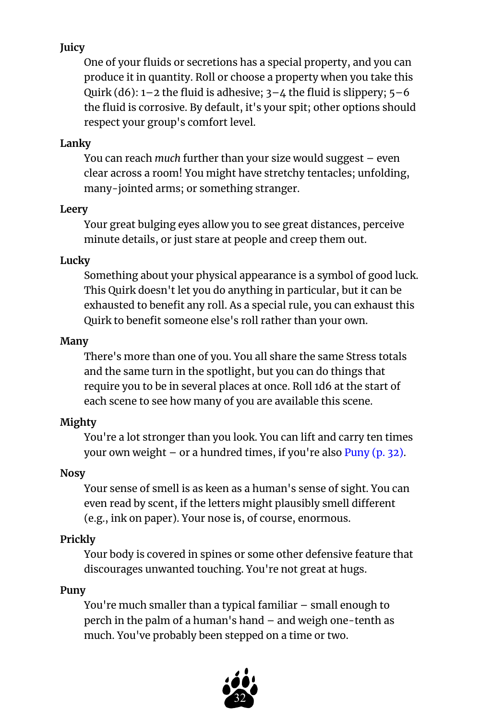## <span id="page-31-0"></span>**Juicy**

One of your fluids or secretions has a special property, and you can produce it in quantity. Roll or choose a property when you take this Quirk (d6):  $1-2$  the fluid is adhesive;  $3-4$  the fluid is slippery;  $5-6$ the fluid is corrosive. By default, it's your spit; other options should respect your group's comfort level.

## <span id="page-31-1"></span>**Lanky**

You can reach *much* further than your size would suggest – even clear across a room! You might have stretchy tentacles; unfolding, many-jointed arms; or something stranger.

## <span id="page-31-2"></span>**Leery**

Your great bulging eyes allow you to see great distances, perceive minute details, or just stare at people and creep them out.

## <span id="page-31-3"></span>**Lucky**

Something about your physical appearance is a symbol of good luck. This Quirk doesn't let you do anything in particular, but it can be exhausted to benefit any roll. As a special rule, you can exhaust this Quirk to benefit someone else's roll rather than your own.

## <span id="page-31-4"></span>**Many**

There's more than one of you. You all share the same Stress totals and the same turn in the spotlight, but you can do things that require you to be in several places at once. Roll 1d6 at the start of each scene to see how many of you are available this scene.

## <span id="page-31-5"></span>**Mighty**

You're a lot stronger than you look. You can lift and carry ten times your own weight – or a hundred times, if you're also  $Punv$  (p. 32).

## <span id="page-31-6"></span>**Nosy**

Your sense of smell is as keen as a human's sense of sight. You can even read by scent, if the letters might plausibly smell different (e.g., ink on paper). Your nose is, of course, enormous.

## <span id="page-31-7"></span>**Prickly**

Your body is covered in spines or some other defensive feature that discourages unwanted touching. You're not great at hugs.

## <span id="page-31-8"></span>**Puny**

You're much smaller than a typical familiar – small enough to perch in the palm of a human's hand – and weigh one-tenth as much. You've probably been stepped on a time or two.

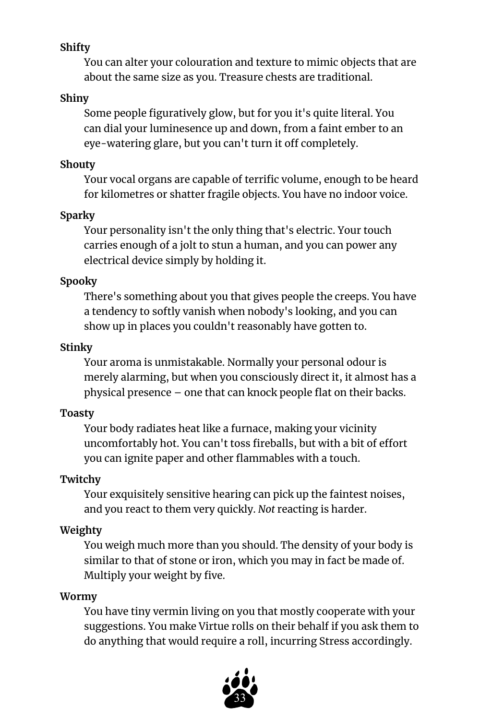## <span id="page-32-0"></span>**Shifty**

You can alter your colouration and texture to mimic objects that are about the same size as you. Treasure chests are traditional.

## <span id="page-32-1"></span>**Shiny**

Some people figuratively glow, but for you it's quite literal. You can dial your luminesence up and down, from a faint ember to an eye-watering glare, but you can't turn it off completely.

## <span id="page-32-2"></span>**Shouty**

Your vocal organs are capable of terrific volume, enough to be heard for kilometres or shatter fragile objects. You have no indoor voice.

## <span id="page-32-3"></span>**Sparky**

Your personality isn't the only thing that's electric. Your touch carries enough of a jolt to stun a human, and you can power any electrical device simply by holding it.

## <span id="page-32-4"></span>**Spooky**

There's something about you that gives people the creeps. You have a tendency to softly vanish when nobody's looking, and you can show up in places you couldn't reasonably have gotten to.

## <span id="page-32-5"></span>**Stinky**

Your aroma is unmistakable. Normally your personal odour is merely alarming, but when you consciously direct it, it almost has a physical presence – one that can knock people flat on their backs.

## <span id="page-32-6"></span>**Toasty**

Your body radiates heat like a furnace, making your vicinity uncomfortably hot. You can't toss fireballs, but with a bit of effort you can ignite paper and other flammables with a touch.

## <span id="page-32-7"></span>**Twitchy**

Your exquisitely sensitive hearing can pick up the faintest noises, and you react to them very quickly. *Not* reacting is harder.

## <span id="page-32-8"></span>**Weighty**

You weigh much more than you should. The density of your body is similar to that of stone or iron, which you may in fact be made of. Multiply your weight by five.

## <span id="page-32-9"></span>**Wormy**

You have tiny vermin living on you that mostly cooperate with your suggestions. You make Virtue rolls on their behalf if you ask them to do anything that would require a roll, incurring Stress accordingly.

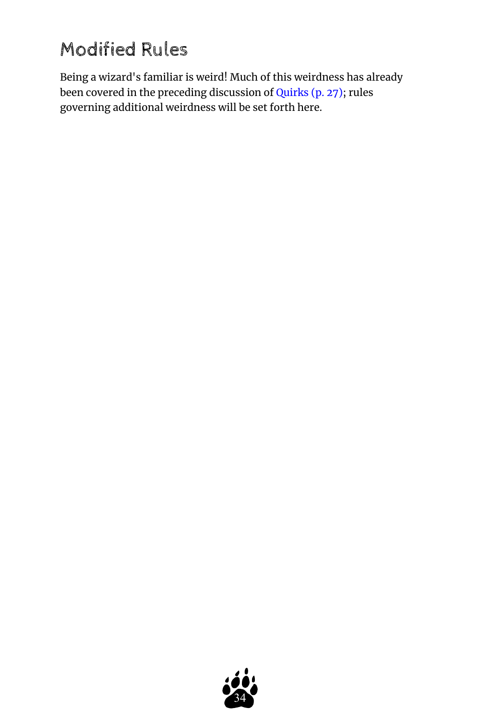## <span id="page-33-0"></span>Modified Rules

Being a wizard's familiar is weird! Much of this weirdness has already been covered in the preceding discussion of [Quirks](#page-26-0) (p. 27); rules governing additional weirdness will be set forth here.

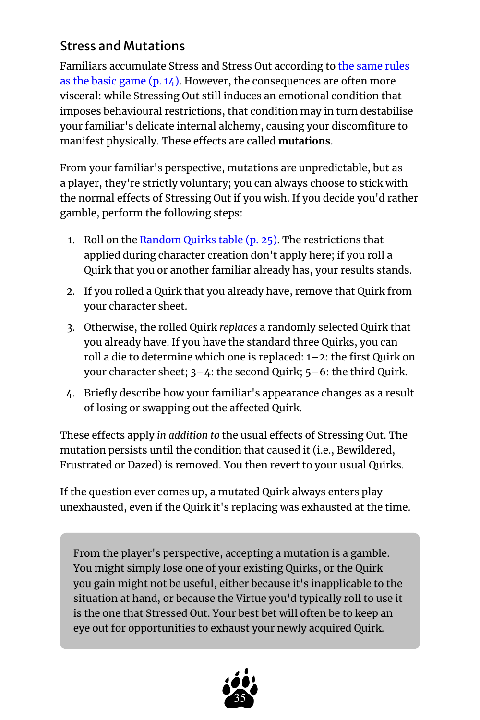## <span id="page-34-0"></span>Stress and Mutations

Familiars accumulate Stress and Stress Out according to [the same rules](#page-13-0)  [as the basic game](#page-13-0)  $(p, 14)$ . However, the consequences are often more visceral: while Stressing Out still induces an emotional condition that imposes behavioural restrictions, that condition may in turn destabilise your familiar's delicate internal alchemy, causing your discomfiture to manifest physically. These effects are called **mutations**.

From your familiar's perspective, mutations are unpredictable, but as a player, they're strictly voluntary; you can always choose to stick with the normal effects of Stressing Out if you wish. If you decide you'd rather gamble, perform the following steps:

- 1. Roll on the [Random Quirks table](#page-24-1) (p. 25). The restrictions that applied during character creation don't apply here; if you roll a Quirk that you or another familiar already has, your results stands.
- 2. If you rolled a Quirk that you already have, remove that Quirk from your character sheet.
- 3. Otherwise, the rolled Quirk *replaces* a randomly selected Quirk that you already have. If you have the standard three Quirks, you can roll a die to determine which one is replaced: 1–2: the first Quirk on your character sheet; 3–4: the second Quirk; 5–6: the third Quirk.
- 4. Briefly describe how your familiar's appearance changes as a result of losing or swapping out the affected Quirk.

These effects apply *in addition to* the usual effects of Stressing Out. The mutation persists until the condition that caused it (i.e., Bewildered, Frustrated or Dazed) is removed. You then revert to your usual Quirks.

If the question ever comes up, a mutated Quirk always enters play unexhausted, even if the Quirk it's replacing was exhausted at the time.

From the player's perspective, accepting a mutation is a gamble. You might simply lose one of your existing Quirks, or the Quirk you gain might not be useful, either because it's inapplicable to the situation at hand, or because the Virtue you'd typically roll to use it is the one that Stressed Out. Your best bet will often be to keep an eye out for opportunities to exhaust your newly acquired Quirk.

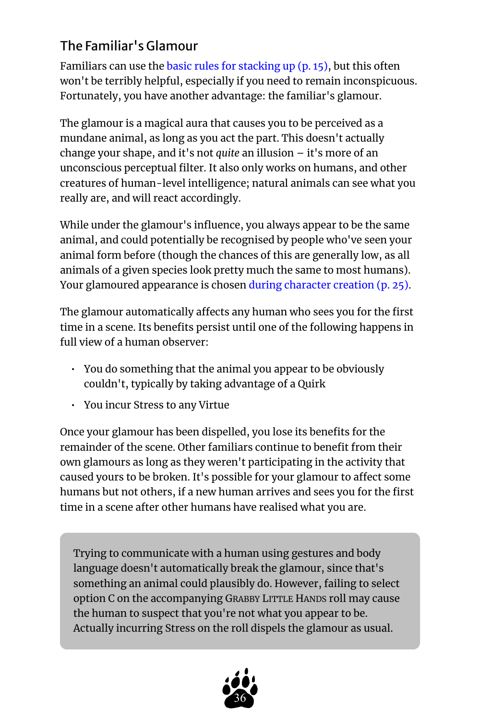## <span id="page-35-0"></span>The Familiar's Glamour

Familiars can use the [basic rules for stacking up](#page-14-0)  $(p. 15)$ , but this often won't be terribly helpful, especially if you need to remain inconspicuous. Fortunately, you have another advantage: the familiar's glamour.

The glamour is a magical aura that causes you to be perceived as a mundane animal, as long as you act the part. This doesn't actually change your shape, and it's not *quite* an illusion – it's more of an unconscious perceptual filter. It also only works on humans, and other creatures of human-level intelligence; natural animals can see what you really are, and will react accordingly.

While under the glamour's influence, you always appear to be the same animal, and could potentially be recognised by people who've seen your animal form before (though the chances of this are generally low, as all animals of a given species look pretty much the same to most humans). Your glamoured appearance is chosen [during character creation](#page-24-0) (p. 25).

The glamour automatically affects any human who sees you for the first time in a scene. Its benefits persist until one of the following happens in full view of a human observer:

- You do something that the animal you appear to be obviously couldn't, typically by taking advantage of a Quirk
- You incur Stress to any Virtue

Once your glamour has been dispelled, you lose its benefits for the remainder of the scene. Other familiars continue to benefit from their own glamours as long as they weren't participating in the activity that caused yours to be broken. It's possible for your glamour to affect some humans but not others, if a new human arrives and sees you for the first time in a scene after other humans have realised what you are.

Trying to communicate with a human using gestures and body language doesn't automatically break the glamour, since that's something an animal could plausibly do. However, failing to select option C on the accompanying GRABBY LITTLE HANDS roll may cause the human to suspect that you're not what you appear to be. Actually incurring Stress on the roll dispels the glamour as usual.

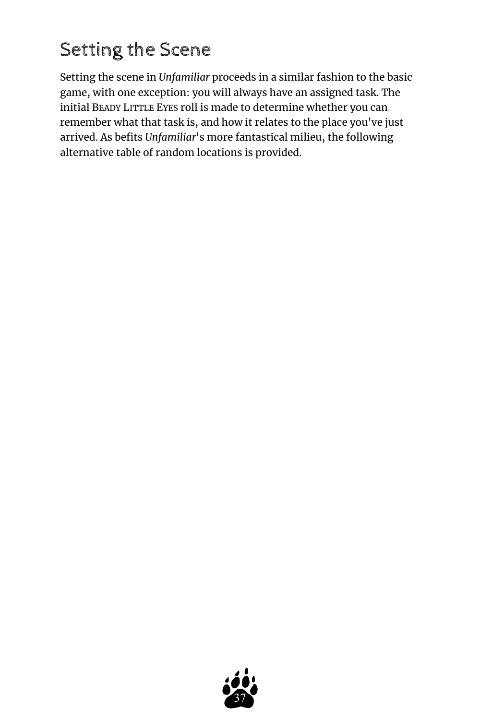## <span id="page-36-0"></span>Setting the Scene

Setting the scene in *Unfamiliar* proceeds in a similar fashion to the basic game, with one exception: you will always have an assigned task. The initial BEADY LITTLE EYES roll is made to determine whether you can remember what that task is, and how it relates to the place you've just arrived. As befits *Unfamiliar*'s more fantastical milieu, the following alternative table of random locations is provided.

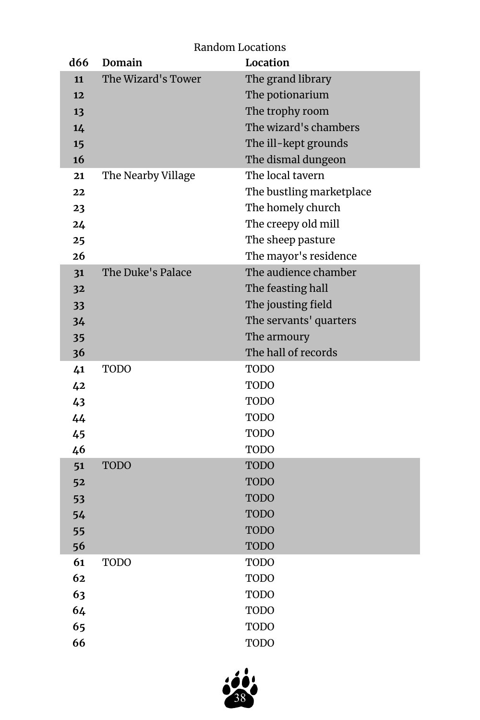| d66      | Domain             | Random Locations<br>Location |
|----------|--------------------|------------------------------|
| 11       | The Wizard's Tower | The grand library            |
| 12       |                    | The potionarium              |
| 13       |                    | The trophy room              |
| 14       |                    | The wizard's chambers        |
| 15       |                    | The ill-kept grounds         |
| 16       |                    | The dismal dungeon           |
| 21       | The Nearby Village | The local tavern             |
| 22       |                    | The bustling marketplace     |
| 23       |                    | The homely church            |
| 24       |                    | The creepy old mill          |
| 25       |                    | The sheep pasture            |
| 26       |                    | The mayor's residence        |
| 31       | The Duke's Palace  | The audience chamber         |
| 32       |                    | The feasting hall            |
| 33       |                    | The jousting field           |
| 34       |                    | The servants' quarters       |
| 35       |                    | The armoury                  |
| 36       |                    | The hall of records          |
| 41       | <b>TODO</b>        | TODO                         |
| 42       |                    | TODO                         |
| 43       |                    | TODO                         |
| 44       |                    | TODO                         |
| 45       |                    | TODO                         |
| 46       |                    | TODO                         |
| 51       | <b>TODO</b>        | <b>TODO</b>                  |
| 52       |                    | <b>TODO</b>                  |
| 53       |                    | <b>TODO</b>                  |
| 54       |                    |                              |
| 55       |                    | <b>TODO</b>                  |
|          |                    | <b>TODO</b>                  |
| 56       |                    | <b>TODO</b>                  |
| 61       | <b>TODO</b>        | <b>TODO</b>                  |
| 62       |                    | <b>TODO</b>                  |
| 63       |                    | <b>TODO</b>                  |
| 64<br>65 |                    | <b>TODO</b><br><b>TODO</b>   |

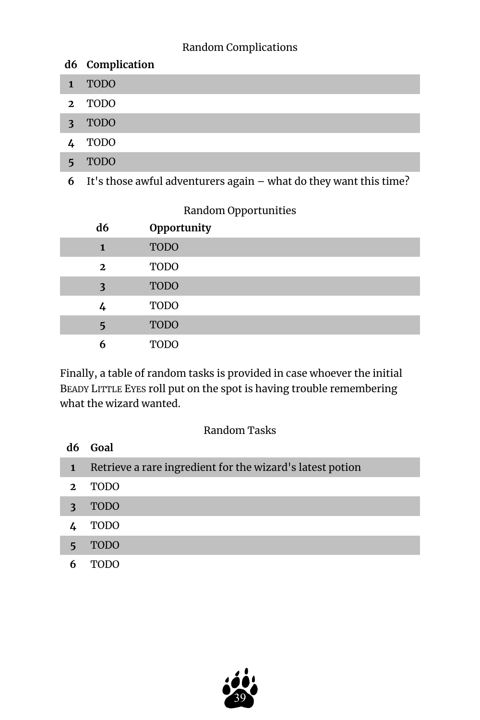## Random Complications

|             | d6 Complication                                                     |
|-------------|---------------------------------------------------------------------|
|             | <b>TODO</b>                                                         |
| $2^{\circ}$ | TODO                                                                |
| 3           | <b>TODO</b>                                                         |
|             | TODO                                                                |
|             | <b>TODO</b>                                                         |
| 6           | It's those awful adventurers again $-$ what do they want this time? |

## Random Opportunities

| d6           | Opportunity |
|--------------|-------------|
| $\mathbf{1}$ | <b>TODO</b> |
| $\mathbf{2}$ | <b>TODO</b> |
| 3            | <b>TODO</b> |
| 4            | <b>TODO</b> |
| 5            | <b>TODO</b> |
| 6            | <b>TODO</b> |

Finally, a table of random tasks is provided in case whoever the initial BEADY LITTLE EYES roll put on the spot is having trouble remembering what the wizard wanted.

#### Random Tasks

|              | d6 Goal                                                   |
|--------------|-----------------------------------------------------------|
| $\mathbf{1}$ | Retrieve a rare ingredient for the wizard's latest potion |
| $\mathbf{2}$ | <b>TODO</b>                                               |
| 3            | <b>TODO</b>                                               |
|              | TODO                                                      |
| 5            | <b>TODO</b>                                               |
|              |                                                           |

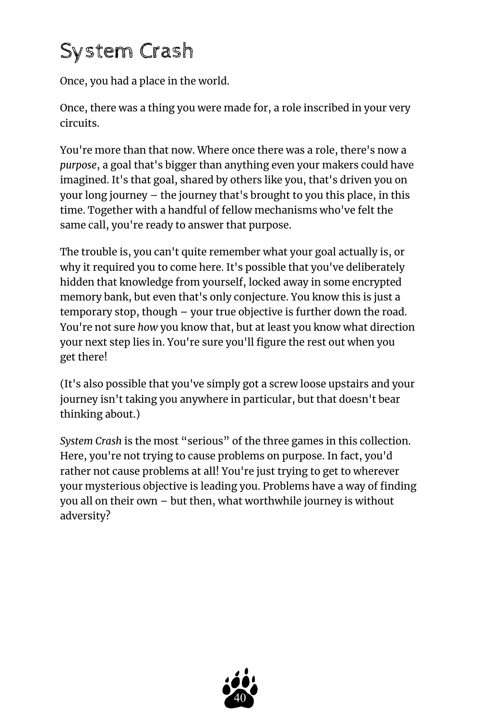# <span id="page-39-0"></span>System Crash

Once, you had a place in the world.

Once, there was a thing you were made for, a role inscribed in your very circuits.

You're more than that now. Where once there was a role, there's now a *purpose*, a goal that's bigger than anything even your makers could have imagined. It's that goal, shared by others like you, that's driven you on your long journey – the journey that's brought to you this place, in this time. Together with a handful of fellow mechanisms who've felt the same call, you're ready to answer that purpose.

The trouble is, you can't quite remember what your goal actually is, or why it required you to come here. It's possible that you've deliberately hidden that knowledge from yourself, locked away in some encrypted memory bank, but even that's only conjecture. You know this is just a temporary stop, though – your true objective is further down the road. You're not sure *how* you know that, but at least you know what direction your next step lies in. You're sure you'll figure the rest out when you get there!

(It's also possible that you've simply got a screw loose upstairs and your journey isn't taking you anywhere in particular, but that doesn't bear thinking about.)

*System Crash* is the most "serious" of the three games in this collection. Here, you're not trying to cause problems on purpose. In fact, you'd rather not cause problems at all! You're just trying to get to wherever your mysterious objective is leading you. Problems have a way of finding you all on their own – but then, what worthwhile journey is without adversity?

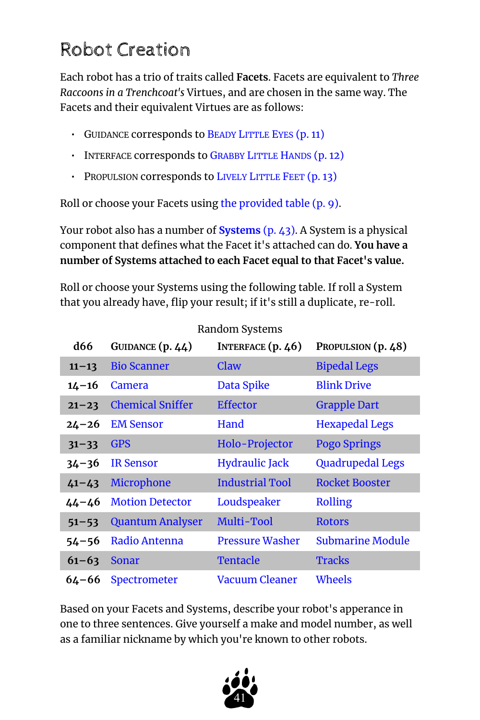## <span id="page-40-0"></span>Robot Creation

Each robot has a trio of traits called **Facets**. Facets are equivalent to *Three Raccoons in a Trenchcoat's* Virtues, and are chosen in the same way. The Facets and their equivalent Virtues are as follows:

- GUIDANCE corresponds to BEADY L[ITTLE](#page-10-0) EYES (p. 11)
- INTERFACE corresponds to G[RABBY](#page-11-0) LITTLE HANDS (p. 12)
- PROPULSION corresponds to LIVELY L[ITTLE](#page-12-0) FEET (p. 13)

Roll or choose your Facets using [the provided table](#page-8-0) (p. 9).

Your robot also has a number of **[Systems](#page-42-0)** (p. 43). A System is a physical component that defines what the Facet it's attached can do. **You have a number of Systems attached to each Facet equal to that Facet's value.** 

Roll or choose your Systems using the following table. If roll a System that you already have, flip your result; if it's still a duplicate, re-roll.

Random Systems

| Randoni Systems |                         |                        |                         |  |
|-----------------|-------------------------|------------------------|-------------------------|--|
| <b>d66</b>      | GUIDANCE $(p.44)$       | INTERFACE $(p.46)$     | PROPULSION (p. 48)      |  |
| $11 - 13$       | <b>Bio Scanner</b>      | Claw                   | <b>Bipedal Legs</b>     |  |
| $14 - 16$       | <b>Camera</b>           | Data Spike             | <b>Blink Drive</b>      |  |
| $21 - 23$       | <b>Chemical Sniffer</b> | <b>Effector</b>        | <b>Grapple Dart</b>     |  |
| 24–26           | <b>EM Sensor</b>        | Hand                   | <b>Hexapedal Legs</b>   |  |
| $31 - 33$       | <b>GPS</b>              | Holo-Projector         | <b>Pogo Springs</b>     |  |
| $34 - 36$       | <b>IR Sensor</b>        | <b>Hydraulic Jack</b>  | <b>Quadrupedal Legs</b> |  |
| $41 - 43$       | Microphone              | <b>Industrial Tool</b> | <b>Rocket Booster</b>   |  |
| $44 - 46$       | <b>Motion Detector</b>  | Loudspeaker            | Rolling                 |  |
| $51 - 53$       | <b>Quantum Analyser</b> | Multi-Tool             | <b>Rotors</b>           |  |
| $54 - 56$       | Radio Antenna           | Pressure Washer        | <b>Submarine Module</b> |  |
| $61 - 63$       | Sonar                   | Tentacle               | <b>Tracks</b>           |  |
| $64 - 66$       | Spectrometer            | Vacuum Cleaner         | Wheels                  |  |

Based on your Facets and Systems, describe your robot's apperance in one to three sentences. Give yourself a make and model number, as well as a familiar nickname by which you're known to other robots.

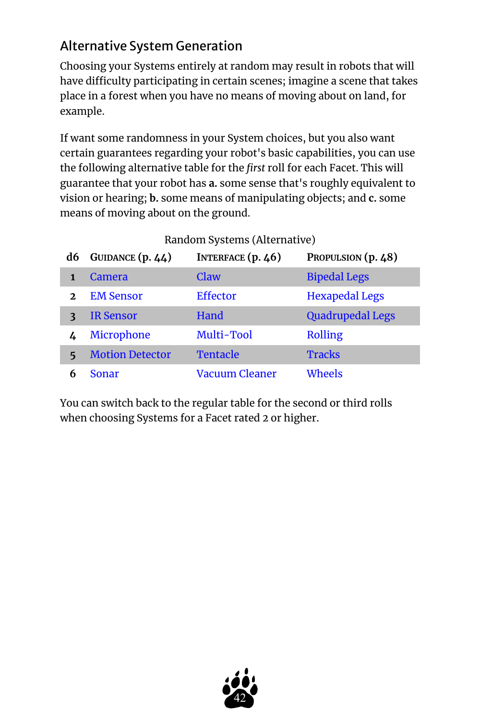## <span id="page-41-0"></span>Alternative System Generation

Choosing your Systems entirely at random may result in robots that will have difficulty participating in certain scenes; imagine a scene that takes place in a forest when you have no means of moving about on land, for example.

If want some randomness in your System choices, but you also want certain guarantees regarding your robot's basic capabilities, you can use the following alternative table for the *first* roll for each Facet. This will guarantee that your robot has **a.** some sense that's roughly equivalent to vision or hearing; **b.** some means of manipulating objects; and **c.** some means of moving about on the ground.

|              | Random Systems (Alternative) |                     |                         |
|--------------|------------------------------|---------------------|-------------------------|
| d6           | GUIDANCE (p. 44)             | INTERFACE $(p. 46)$ | PROPULSION (p. 48)      |
|              | Camera                       | Claw                | <b>Bipedal Legs</b>     |
| $\mathbf{z}$ | <b>EM Sensor</b>             | <b>Effector</b>     | <b>Hexapedal Legs</b>   |
|              | <b>IR Sensor</b>             | Hand                | <b>Quadrupedal Legs</b> |
|              | Microphone                   | Multi-Tool          | Rolling                 |
| 5            | <b>Motion Detector</b>       | Tentacle            | <b>Tracks</b>           |
| 6            | Sonar                        | Vacuum Cleaner      | Wheels                  |

Random Systems (Alternative)

You can switch back to the regular table for the second or third rolls when choosing Systems for a Facet rated 2 or higher.

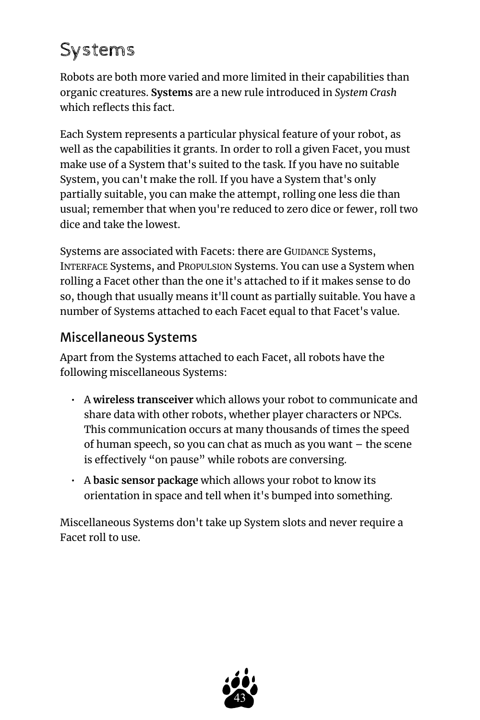## <span id="page-42-0"></span>Systems

Robots are both more varied and more limited in their capabilities than organic creatures. **Systems** are a new rule introduced in *System Crash*  which reflects this fact.

Each System represents a particular physical feature of your robot, as well as the capabilities it grants. In order to roll a given Facet, you must make use of a System that's suited to the task. If you have no suitable System, you can't make the roll. If you have a System that's only partially suitable, you can make the attempt, rolling one less die than usual; remember that when you're reduced to zero dice or fewer, roll two dice and take the lowest.

Systems are associated with Facets: there are GUIDANCE Systems, INTERFACE Systems, and PROPULSION Systems. You can use a System when rolling a Facet other than the one it's attached to if it makes sense to do so, though that usually means it'll count as partially suitable. You have a number of Systems attached to each Facet equal to that Facet's value.

## <span id="page-42-1"></span>Miscellaneous Systems

Apart from the Systems attached to each Facet, all robots have the following miscellaneous Systems:

- A **wireless transceiver** which allows your robot to communicate and share data with other robots, whether player characters or NPCs. This communication occurs at many thousands of times the speed of human speech, so you can chat as much as you want – the scene is effectively "on pause" while robots are conversing.
- A **basic sensor package** which allows your robot to know its orientation in space and tell when it's bumped into something.

Miscellaneous Systems don't take up System slots and never require a Facet roll to use.

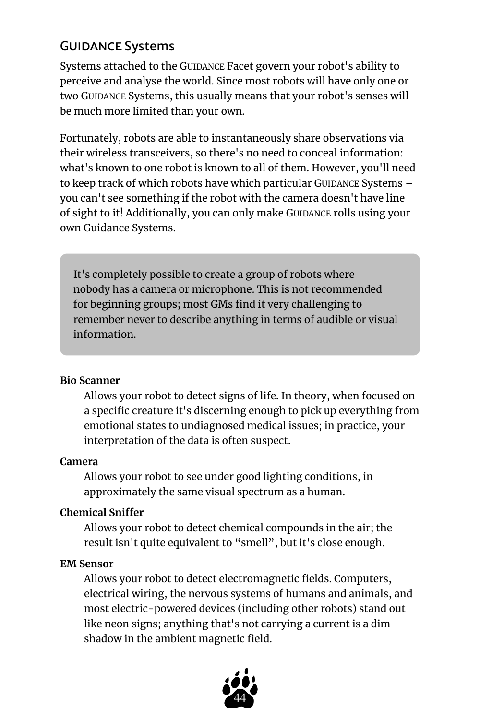## <span id="page-43-0"></span>Guidance Systems

Systems attached to the GUIDANCE Facet govern your robot's ability to perceive and analyse the world. Since most robots will have only one or two GUIDANCE Systems, this usually means that your robot's senses will be much more limited than your own.

Fortunately, robots are able to instantaneously share observations via their wireless transceivers, so there's no need to conceal information: what's known to one robot is known to all of them. However, you'll need to keep track of which robots have which particular GUIDANCE Systems you can't see something if the robot with the camera doesn't have line of sight to it! Additionally, you can only make GUIDANCE rolls using your own Guidance Systems.

It's completely possible to create a group of robots where nobody has a camera or microphone. This is not recommended for beginning groups; most GMs find it very challenging to remember never to describe anything in terms of audible or visual information.

## <span id="page-43-1"></span>**Bio Scanner**

Allows your robot to detect signs of life. In theory, when focused on a specific creature it's discerning enough to pick up everything from emotional states to undiagnosed medical issues; in practice, your interpretation of the data is often suspect.

#### <span id="page-43-2"></span>**Camera**

Allows your robot to see under good lighting conditions, in approximately the same visual spectrum as a human.

## <span id="page-43-3"></span>**Chemical Sniffer**

Allows your robot to detect chemical compounds in the air; the result isn't quite equivalent to "smell", but it's close enough.

## <span id="page-43-4"></span>**EM Sensor**

Allows your robot to detect electromagnetic fields. Computers, electrical wiring, the nervous systems of humans and animals, and most electric-powered devices (including other robots) stand out like neon signs; anything that's not carrying a current is a dim shadow in the ambient magnetic field.

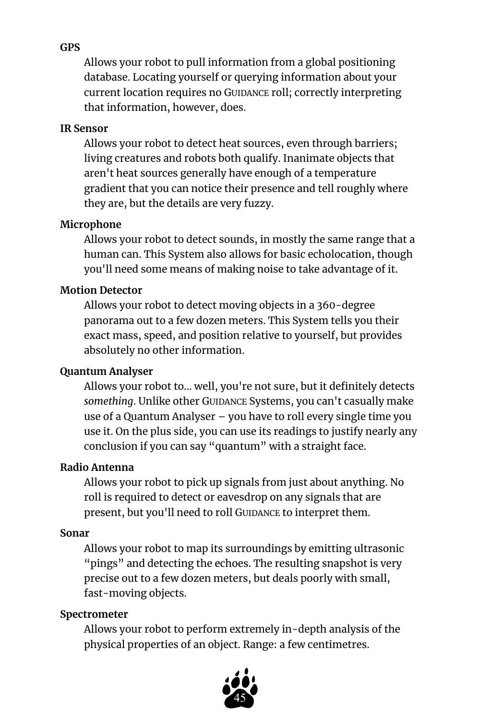#### <span id="page-44-0"></span>**GPS**

Allows your robot to pull information from a global positioning database. Locating yourself or querying information about your current location requires no GUIDANCE roll; correctly interpreting that information, however, does.

#### <span id="page-44-7"></span>**IR Sensor**

Allows your robot to detect heat sources, even through barriers; living creatures and robots both qualify. Inanimate objects that aren't heat sources generally have enough of a temperature gradient that you can notice their presence and tell roughly where they are, but the details are very fuzzy.

## <span id="page-44-1"></span>**Microphone**

Allows your robot to detect sounds, in mostly the same range that a human can. This System also allows for basic echolocation, though you'll need some means of making noise to take advantage of it.

#### <span id="page-44-2"></span>**Motion Detector**

Allows your robot to detect moving objects in a 360-degree panorama out to a few dozen meters. This System tells you their exact mass, speed, and position relative to yourself, but provides absolutely no other information.

#### <span id="page-44-3"></span>**Quantum Analyser**

Allows your robot to… well, you're not sure, but it definitely detects *something*. Unlike other GUIDANCE Systems, you can't casually make use of a Quantum Analyser – you have to roll every single time you use it. On the plus side, you can use its readings to justify nearly any conclusion if you can say "quantum" with a straight face.

#### <span id="page-44-4"></span>**Radio Antenna**

Allows your robot to pick up signals from just about anything. No roll is required to detect or eavesdrop on any signals that are present, but you'll need to roll GUIDANCE to interpret them.

#### <span id="page-44-5"></span>**Sonar**

Allows your robot to map its surroundings by emitting ultrasonic "pings" and detecting the echoes. The resulting snapshot is very precise out to a few dozen meters, but deals poorly with small, fast-moving objects.

#### <span id="page-44-6"></span>**Spectrometer**

Allows your robot to perform extremely in-depth analysis of the physical properties of an object. Range: a few centimetres.

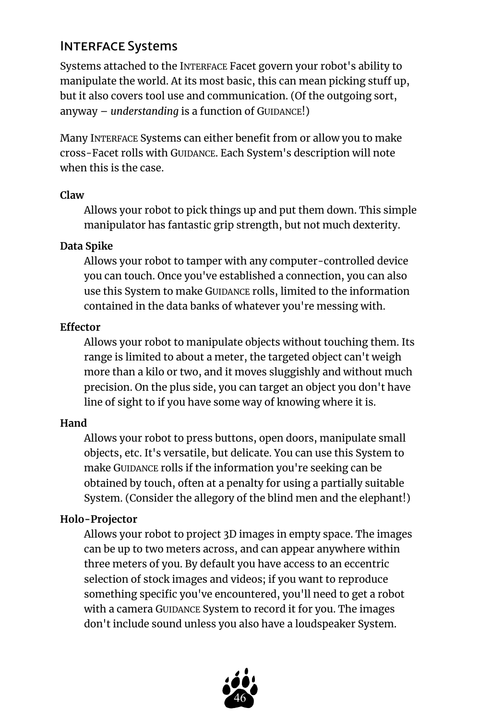## <span id="page-45-0"></span>**INTERFACE Systems**

Systems attached to the INTERFACE Facet govern your robot's ability to manipulate the world. At its most basic, this can mean picking stuff up, but it also covers tool use and communication. (Of the outgoing sort, anyway – *understanding* is a function of GUIDANCE!)

Many INTERFACE Systems can either benefit from or allow you to make cross-Facet rolls with GUIDANCE. Each System's description will note when this is the case.

#### <span id="page-45-1"></span>**Claw**

Allows your robot to pick things up and put them down. This simple manipulator has fantastic grip strength, but not much dexterity.

## <span id="page-45-2"></span>**Data Spike**

Allows your robot to tamper with any computer-controlled device you can touch. Once you've established a connection, you can also use this System to make GUIDANCE rolls, limited to the information contained in the data banks of whatever you're messing with.

#### <span id="page-45-3"></span>**Effector**

Allows your robot to manipulate objects without touching them. Its range is limited to about a meter, the targeted object can't weigh more than a kilo or two, and it moves sluggishly and without much precision. On the plus side, you can target an object you don't have line of sight to if you have some way of knowing where it is.

## <span id="page-45-4"></span>**Hand**

Allows your robot to press buttons, open doors, manipulate small objects, etc. It's versatile, but delicate. You can use this System to make GUIDANCE rolls if the information you're seeking can be obtained by touch, often at a penalty for using a partially suitable System. (Consider the allegory of the blind men and the elephant!)

## <span id="page-45-5"></span>**Holo-Projector**

Allows your robot to project 3D images in empty space. The images can be up to two meters across, and can appear anywhere within three meters of you. By default you have access to an eccentric selection of stock images and videos; if you want to reproduce something specific you've encountered, you'll need to get a robot with a camera GUIDANCE System to record it for you. The images don't include sound unless you also have a loudspeaker System.

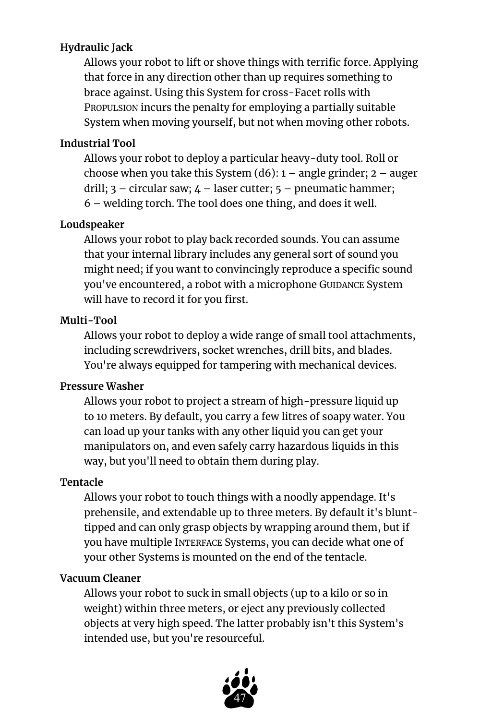## <span id="page-46-0"></span>**Hydraulic Jack**

Allows your robot to lift or shove things with terrific force. Applying that force in any direction other than up requires something to brace against. Using this System for cross-Facet rolls with PROPULSION incurs the penalty for employing a partially suitable System when moving yourself, but not when moving other robots.

## <span id="page-46-1"></span>**Industrial Tool**

Allows your robot to deploy a particular heavy-duty tool. Roll or choose when you take this System  $(d6)$ :  $1 -$  angle grinder;  $2 -$  auger drill;  $3$  – circular saw;  $\mu$  – laser cutter;  $5$  – pneumatic hammer; 6 – welding torch. The tool does one thing, and does it well.

## <span id="page-46-2"></span>**Loudspeaker**

Allows your robot to play back recorded sounds. You can assume that your internal library includes any general sort of sound you might need; if you want to convincingly reproduce a specific sound you've encountered, a robot with a microphone GUIDANCE System will have to record it for you first.

## <span id="page-46-3"></span>**Multi-Tool**

Allows your robot to deploy a wide range of small tool attachments, including screwdrivers, socket wrenches, drill bits, and blades. You're always equipped for tampering with mechanical devices.

## <span id="page-46-4"></span>**Pressure Washer**

Allows your robot to project a stream of high-pressure liquid up to 10 meters. By default, you carry a few litres of soapy water. You can load up your tanks with any other liquid you can get your manipulators on, and even safely carry hazardous liquids in this way, but you'll need to obtain them during play.

## <span id="page-46-5"></span>**Tentacle**

Allows your robot to touch things with a noodly appendage. It's prehensile, and extendable up to three meters. By default it's blunttipped and can only grasp objects by wrapping around them, but if you have multiple INTERFACE Systems, you can decide what one of your other Systems is mounted on the end of the tentacle.

## <span id="page-46-6"></span>**Vacuum Cleaner**

Allows your robot to suck in small objects (up to a kilo or so in weight) within three meters, or eject any previously collected objects at very high speed. The latter probably isn't this System's intended use, but you're resourceful.

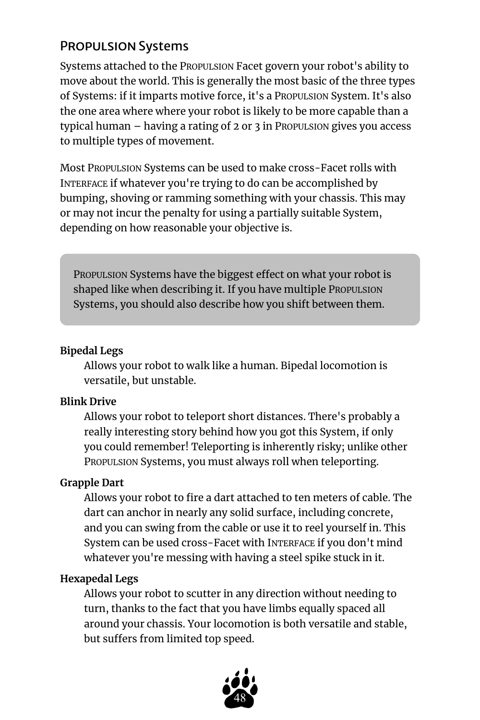## <span id="page-47-0"></span>Propulsion Systems

Systems attached to the PROPULSION Facet govern your robot's ability to move about the world. This is generally the most basic of the three types of Systems: if it imparts motive force, it's a PROPULSION System. It's also the one area where where your robot is likely to be more capable than a typical human – having a rating of 2 or 3 in PROPULSION gives you access to multiple types of movement.

Most PROPULSION Systems can be used to make cross-Facet rolls with INTERFACE if whatever you're trying to do can be accomplished by bumping, shoving or ramming something with your chassis. This may or may not incur the penalty for using a partially suitable System, depending on how reasonable your objective is.

PROPULSION Systems have the biggest effect on what your robot is shaped like when describing it. If you have multiple PROPULSION Systems, you should also describe how you shift between them.

#### <span id="page-47-1"></span>**Bipedal Legs**

Allows your robot to walk like a human. Bipedal locomotion is versatile, but unstable.

## <span id="page-47-2"></span>**Blink Drive**

Allows your robot to teleport short distances. There's probably a really interesting story behind how you got this System, if only you could remember! Teleporting is inherently risky; unlike other PROPULSION Systems, you must always roll when teleporting.

## <span id="page-47-3"></span>**Grapple Dart**

Allows your robot to fire a dart attached to ten meters of cable. The dart can anchor in nearly any solid surface, including concrete, and you can swing from the cable or use it to reel yourself in. This System can be used cross-Facet with INTERFACE if you don't mind whatever you're messing with having a steel spike stuck in it.

## <span id="page-47-4"></span>**Hexapedal Legs**

Allows your robot to scutter in any direction without needing to turn, thanks to the fact that you have limbs equally spaced all around your chassis. Your locomotion is both versatile and stable, but suffers from limited top speed.

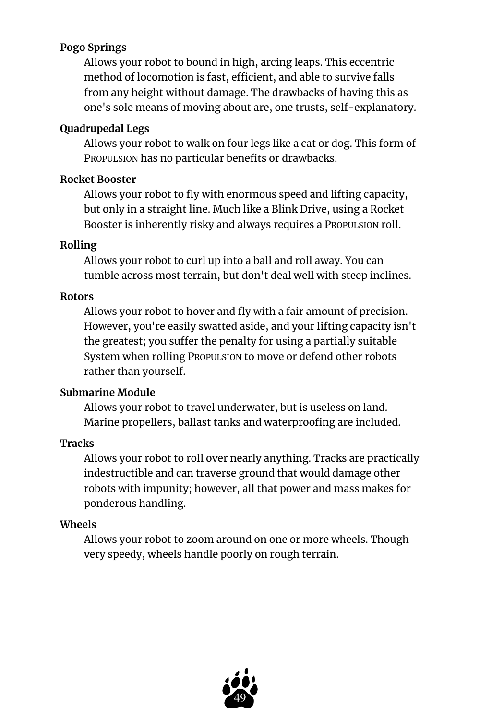## <span id="page-48-0"></span>**Pogo Springs**

Allows your robot to bound in high, arcing leaps. This eccentric method of locomotion is fast, efficient, and able to survive falls from any height without damage. The drawbacks of having this as one's sole means of moving about are, one trusts, self-explanatory.

## <span id="page-48-1"></span>**Quadrupedal Legs**

Allows your robot to walk on four legs like a cat or dog. This form of PROPULSION has no particular benefits or drawbacks.

## **Rocket Booster**

Allows your robot to fly with enormous speed and lifting capacity, but only in a straight line. Much like a Blink Drive, using a Rocket Booster is inherently risky and always requires a PROPULSION roll.

## <span id="page-48-2"></span>**Rolling**

Allows your robot to curl up into a ball and roll away. You can tumble across most terrain, but don't deal well with steep inclines.

## <span id="page-48-3"></span>**Rotors**

Allows your robot to hover and fly with a fair amount of precision. However, you're easily swatted aside, and your lifting capacity isn't the greatest; you suffer the penalty for using a partially suitable System when rolling PROPULSION to move or defend other robots rather than yourself.

## <span id="page-48-4"></span>**Submarine Module**

Allows your robot to travel underwater, but is useless on land. Marine propellers, ballast tanks and waterproofing are included.

## <span id="page-48-5"></span>**Tracks**

Allows your robot to roll over nearly anything. Tracks are practically indestructible and can traverse ground that would damage other robots with impunity; however, all that power and mass makes for ponderous handling.

## <span id="page-48-6"></span>**Wheels**

Allows your robot to zoom around on one or more wheels. Though very speedy, wheels handle poorly on rough terrain.

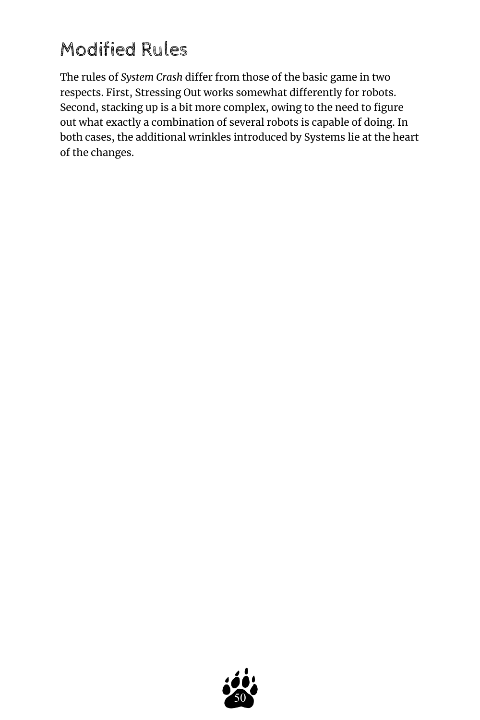## <span id="page-49-0"></span>Modified Rules

The rules of *System Crash* differ from those of the basic game in two respects. First, Stressing Out works somewhat differently for robots. Second, stacking up is a bit more complex, owing to the need to figure out what exactly a combination of several robots is capable of doing. In both cases, the additional wrinkles introduced by Systems lie at the heart of the changes.

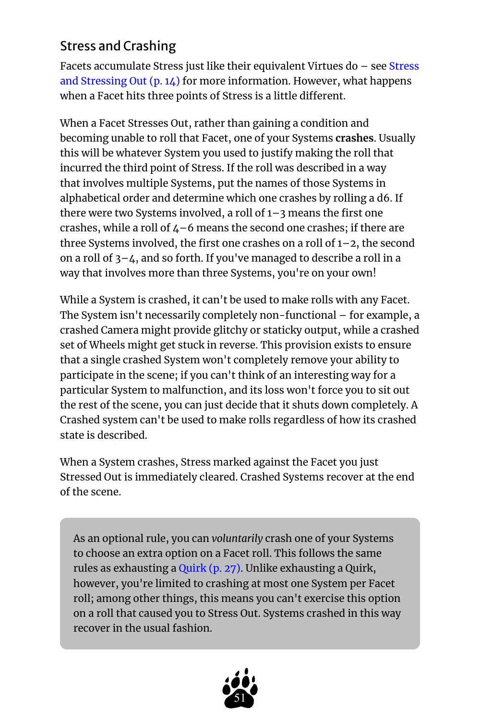## <span id="page-50-0"></span>Stress and Crashing

Facets accumulate Stress just like their equivalent Virtues do – see [Stress](#page-13-0) [and Stressing Out](#page-13-0) (p. 14) for more information. However, what happens when a Facet hits three points of Stress is a little different.

When a Facet Stresses Out, rather than gaining a condition and becoming unable to roll that Facet, one of your Systems **crashes**. Usually this will be whatever System you used to justify making the roll that incurred the third point of Stress. If the roll was described in a way that involves multiple Systems, put the names of those Systems in alphabetical order and determine which one crashes by rolling a d6. If there were two Systems involved, a roll of 1–3 means the first one crashes, while a roll of  $4-6$  means the second one crashes; if there are three Systems involved, the first one crashes on a roll of 1–2, the second on a roll of 3–4, and so forth. If you've managed to describe a roll in a way that involves more than three Systems, you're on your own!

While a System is crashed, it can't be used to make rolls with any Facet. The System isn't necessarily completely non-functional – for example, a crashed Camera might provide glitchy or staticky output, while a crashed set of Wheels might get stuck in reverse. This provision exists to ensure that a single crashed System won't completely remove your ability to participate in the scene; if you can't think of an interesting way for a particular System to malfunction, and its loss won't force you to sit out the rest of the scene, you can just decide that it shuts down completely. A Crashed system can't be used to make rolls regardless of how its crashed state is described.

When a System crashes, Stress marked against the Facet you just Stressed Out is immediately cleared. Crashed Systems recover at the end of the scene.

As an optional rule, you can *voluntarily* crash one of your Systems to choose an extra option on a Facet roll. This follows the same rules as exhausting a [Quirk](#page-26-0) (p. 27). Unlike exhausting a Quirk, however, you're limited to crashing at most one System per Facet roll; among other things, this means you can't exercise this option on a roll that caused you to Stress Out. Systems crashed in this way recover in the usual fashion.

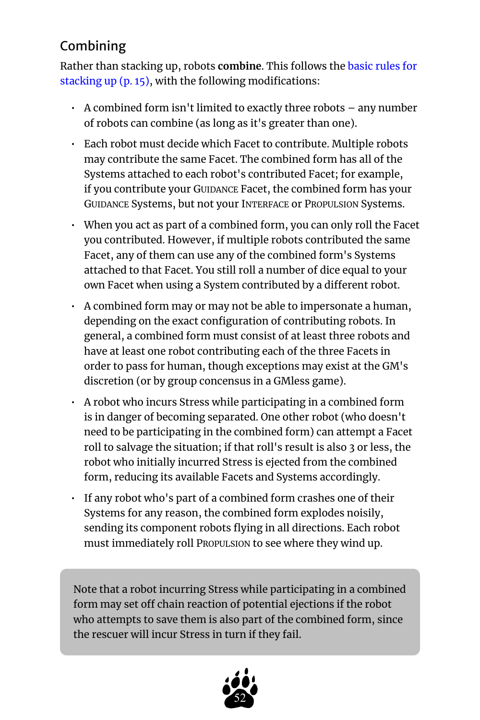## <span id="page-51-0"></span>Combining

Rather than stacking up, robots **combine**. This follows the [basic rules for](#page-14-0) [stacking up](#page-14-0) (p. 15), with the following modifications:

- $\cdot$  A combined form isn't limited to exactly three robots  $-$  any number of robots can combine (as long as it's greater than one).
- Each robot must decide which Facet to contribute. Multiple robots may contribute the same Facet. The combined form has all of the Systems attached to each robot's contributed Facet; for example, if you contribute your GUIDANCE Facet, the combined form has your GUIDANCE Systems, but not your INTERFACE or PROPULSION Systems.
- When you act as part of a combined form, you can only roll the Facet you contributed. However, if multiple robots contributed the same Facet, any of them can use any of the combined form's Systems attached to that Facet. You still roll a number of dice equal to your own Facet when using a System contributed by a different robot.
- A combined form may or may not be able to impersonate a human, depending on the exact configuration of contributing robots. In general, a combined form must consist of at least three robots and have at least one robot contributing each of the three Facets in order to pass for human, though exceptions may exist at the GM's discretion (or by group concensus in a GMless game).
- A robot who incurs Stress while participating in a combined form is in danger of becoming separated. One other robot (who doesn't need to be participating in the combined form) can attempt a Facet roll to salvage the situation; if that roll's result is also 3 or less, the robot who initially incurred Stress is ejected from the combined form, reducing its available Facets and Systems accordingly.
- If any robot who's part of a combined form crashes one of their Systems for any reason, the combined form explodes noisily, sending its component robots flying in all directions. Each robot must immediately roll PROPULSION to see where they wind up.

Note that a robot incurring Stress while participating in a combined form may set off chain reaction of potential ejections if the robot who attempts to save them is also part of the combined form, since the rescuer will incur Stress in turn if they fail.

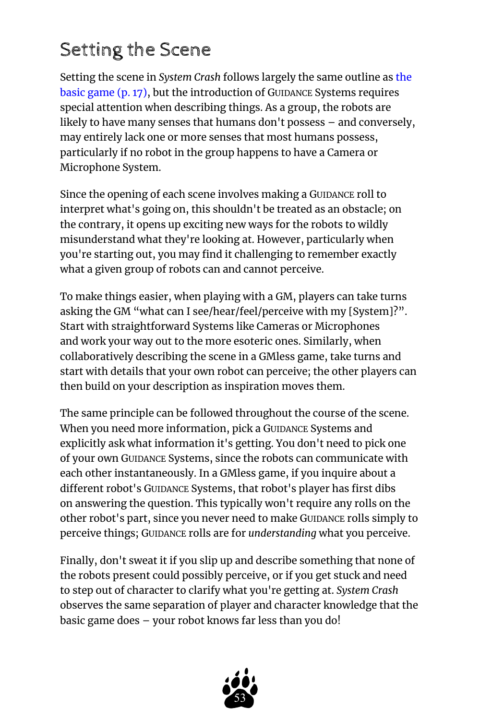## <span id="page-52-0"></span>Setting the Scene

Setting the scene in *System Crash* follows largely the same outline as [the](#page-16-0)  [basic game](#page-16-0) (p. 17), but the introduction of GUIDANCE Systems requires special attention when describing things. As a group, the robots are likely to have many senses that humans don't possess – and conversely, may entirely lack one or more senses that most humans possess, particularly if no robot in the group happens to have a Camera or Microphone System.

Since the opening of each scene involves making a GUIDANCE roll to interpret what's going on, this shouldn't be treated as an obstacle; on the contrary, it opens up exciting new ways for the robots to wildly misunderstand what they're looking at. However, particularly when you're starting out, you may find it challenging to remember exactly what a given group of robots can and cannot perceive.

To make things easier, when playing with a GM, players can take turns asking the GM "what can I see/hear/feel/perceive with my [System]?". Start with straightforward Systems like Cameras or Microphones and work your way out to the more esoteric ones. Similarly, when collaboratively describing the scene in a GMless game, take turns and start with details that your own robot can perceive; the other players can then build on your description as inspiration moves them.

The same principle can be followed throughout the course of the scene. When you need more information, pick a GUIDANCE Systems and explicitly ask what information it's getting. You don't need to pick one of your own GUIDANCE Systems, since the robots can communicate with each other instantaneously. In a GMless game, if you inquire about a different robot's GUIDANCE Systems, that robot's player has first dibs on answering the question. This typically won't require any rolls on the other robot's part, since you never need to make GUIDANCE rolls simply to perceive things; GUIDANCE rolls are for *understanding* what you perceive.

Finally, don't sweat it if you slip up and describe something that none of the robots present could possibly perceive, or if you get stuck and need to step out of character to clarify what you're getting at. *System Crash*  observes the same separation of player and character knowledge that the basic game does – your robot knows far less than you do!

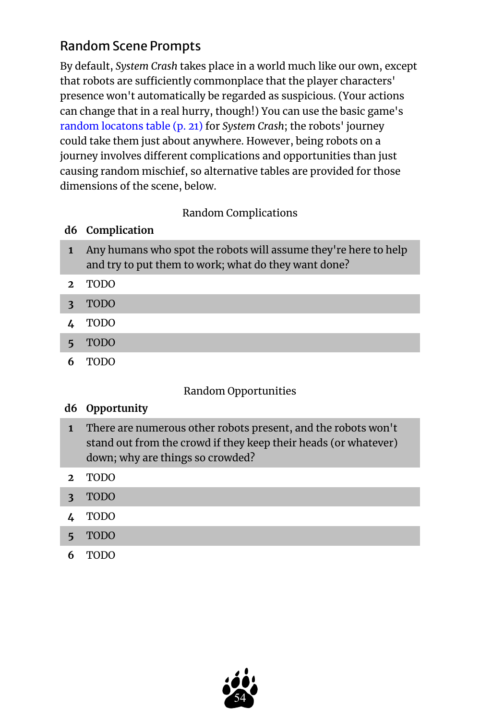## <span id="page-53-0"></span>Random Scene Prompts

By default, *System Crash* takes place in a world much like our own, except that robots are sufficiently commonplace that the player characters' presence won't automatically be regarded as suspicious. (Your actions can change that in a real hurry, though!) You can use the basic game's [random locatons table](#page-20-0) (p. 21) for *System Crash*; the robots' journey could take them just about anywhere. However, being robots on a journey involves different complications and opportunities than just causing random mischief, so alternative tables are provided for those dimensions of the scene, below.

## Random Complications

## **d6 Complication**

- **1** Any humans who spot the robots will assume they're here to help and try to put them to work; what do they want done?
- **2** TODO
- **3** TODO
- **4** TODO
- **5** TODO
- **6** TODO

## Random Opportunities

#### **d6 Opportunity**

- **1** There are numerous other robots present, and the robots won't stand out from the crowd if they keep their heads (or whatever) down; why are things so crowded?
- **2** TODO
- **3** TODO
- **4** TODO
- **5** TODO
- **6** TODO